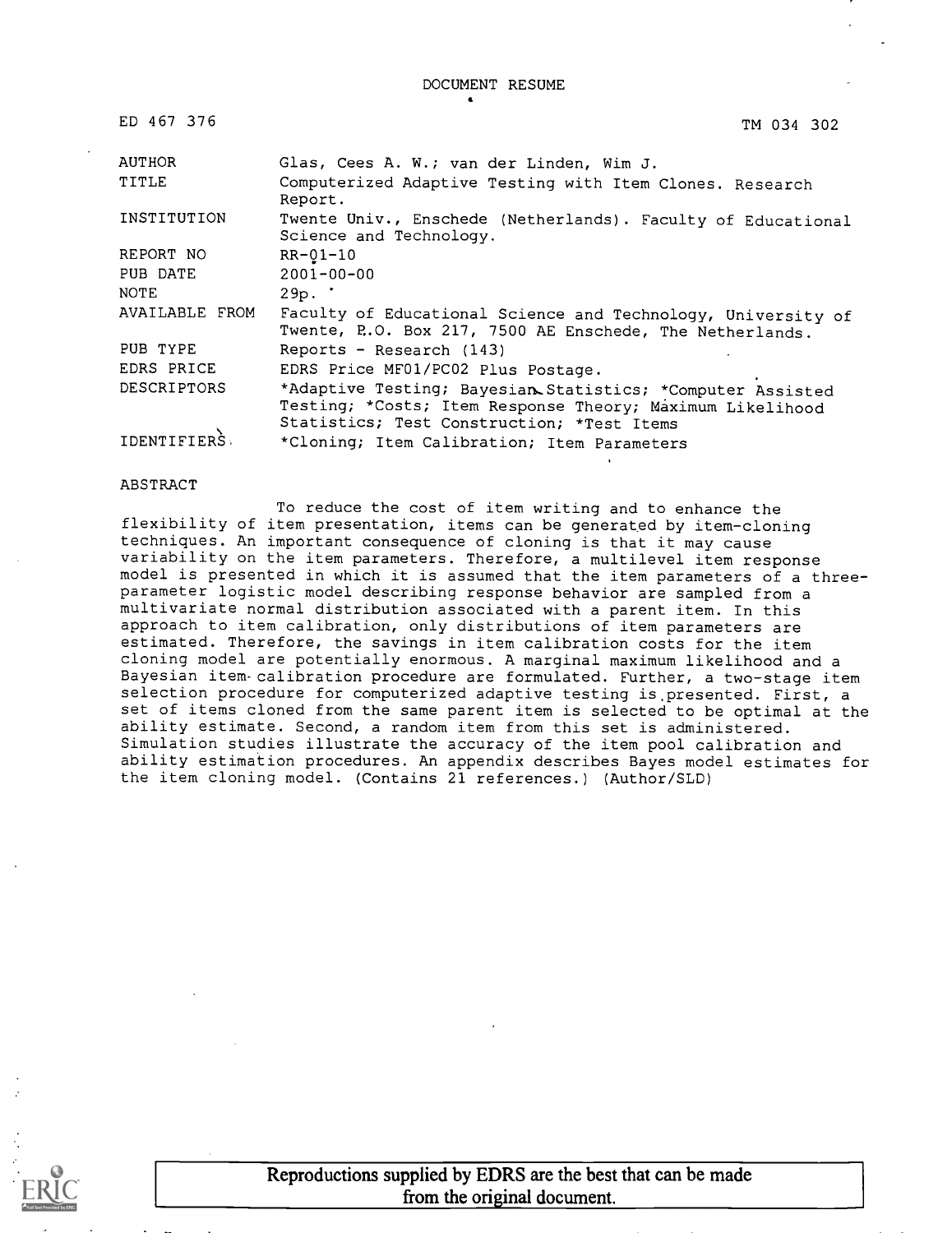DOCUMENT RESUME

| ED 467 376         | TM 034 302                                                                                                                                                            |
|--------------------|-----------------------------------------------------------------------------------------------------------------------------------------------------------------------|
| <b>AUTHOR</b>      | Glas, Cees A. W.; van der Linden, Wim J.                                                                                                                              |
| TITLE              | Computerized Adaptive Testing with Item Clones. Research<br>Report.                                                                                                   |
| INSTITUTION        | Twente Univ., Enschede (Netherlands). Faculty of Educational<br>Science and Technology.                                                                               |
| REPORT NO          | $RR - Q1 - 10$                                                                                                                                                        |
| PUB DATE           | $2001 - 00 - 00$                                                                                                                                                      |
| NOTE               | 29p.                                                                                                                                                                  |
| AVAILABLE FROM     | Faculty of Educational Science and Technology, University of<br>Twente, P.O. Box 217, 7500 AE Enschede, The Netherlands.                                              |
| PUB TYPE           | Reports - Research $(143)$                                                                                                                                            |
| EDRS PRICE         | EDRS Price MF01/PC02 Plus Postage.                                                                                                                                    |
| <b>DESCRIPTORS</b> | *Adaptive Testing; Bayesian Statistics; *Computer Assisted<br>Testing; *Costs; Item Response Theory; Maximum Likelihood<br>Statistics; Test Construction; *Test Items |
| <b>IDENTIFIERS</b> | *Cloning; Item Calibration; Item Parameters                                                                                                                           |

#### ABSTRACT

To reduce the cost of item writing and to enhance the flexibility of item presentation, items can be generated by item-cloning techniques. An important consequence of cloning is that it may cause variability on the item parameters. Therefore, a multilevel item response model is presented in which it is assumed that the item parameters of a threeparameter logistic model describing response behavior are sampled from a multivariate normal distribution associated with a parent item. In this approach to item calibration, only distributions of item parameters are estimated. Therefore, the savings in item calibration costs for the item cloning model are potentially enormous. A marginal maximum likelihood and a Bayesian item-calibration procedure are formulated. Further, a two-stage item selection procedure for computerized adaptive testing is, presented. First, a set of items cloned from the same parent item is selected to be optimal at the ability estimate. Second, a random item from this set is administered. Simulation studies illustrate the accuracy of the item pool calibration and ability estimation procedures. An appendix describes Bayes model estimates for the item cloning model. (Contains 21 references.) (Author/SLD)



Reproductions supplied by EDRS are the best that can be made from the original document.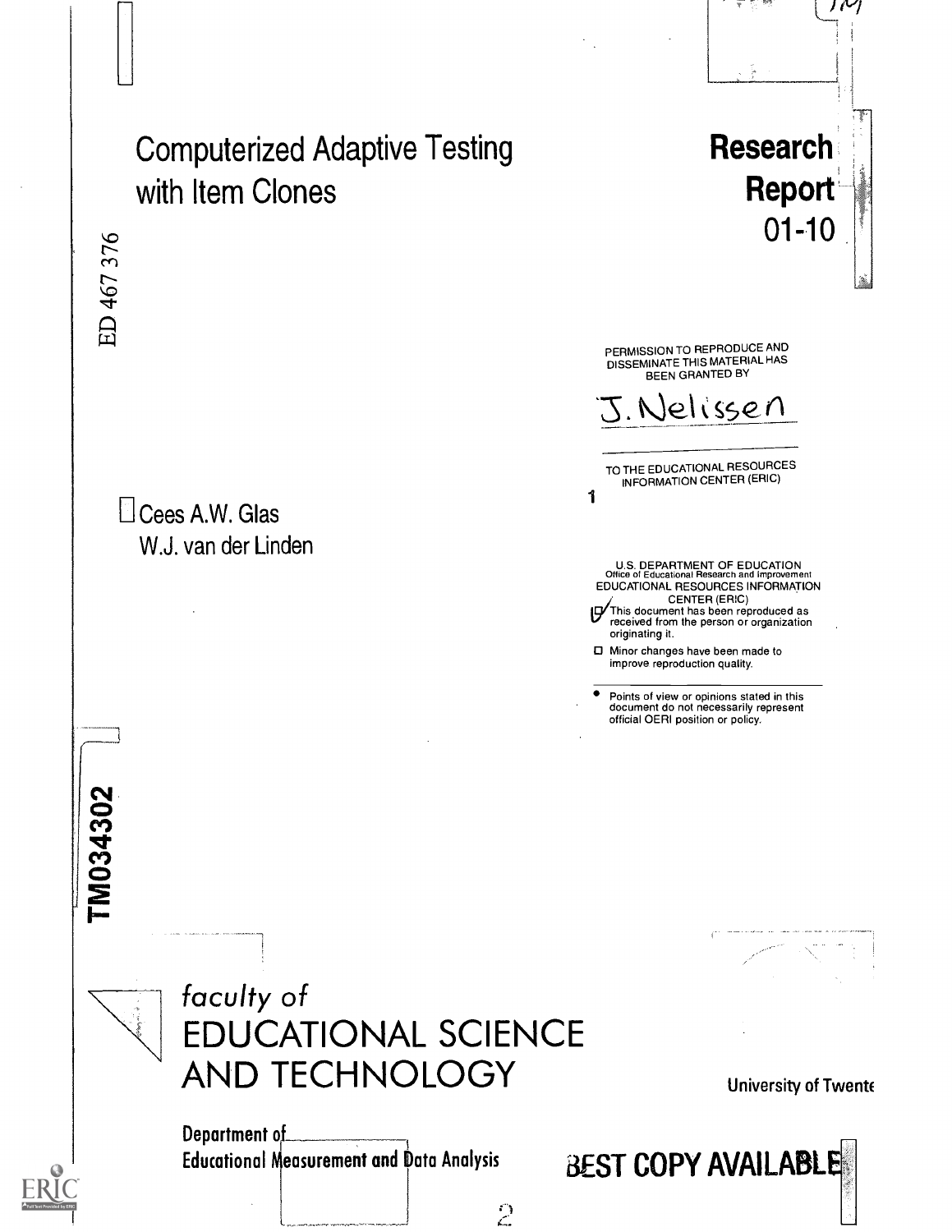

 $\mathcal{L}$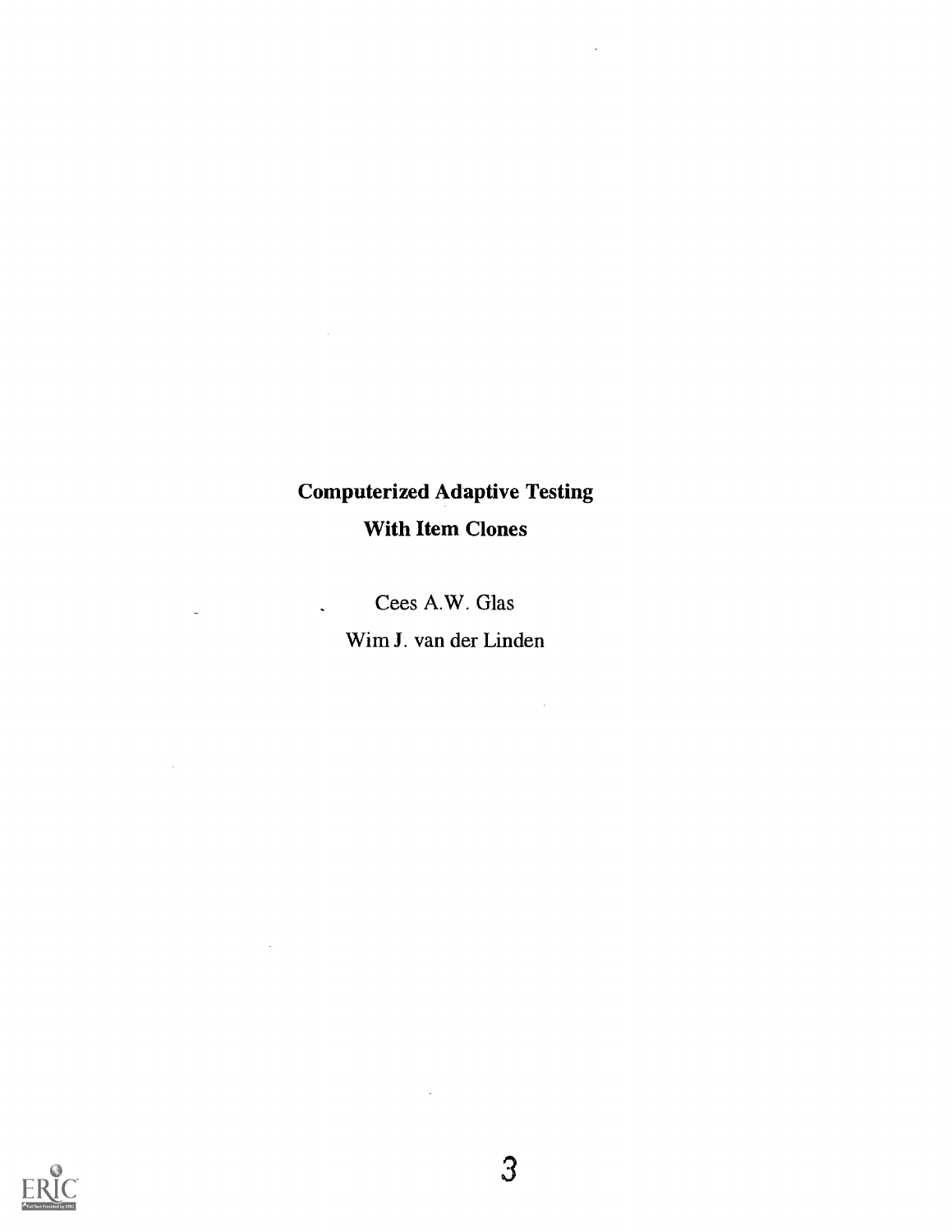# Computerized Adaptive Testing With Item Clones

t,

Cees A.W. Glas

 $\ddot{\phantom{a}}$ 

 $\sim 10^{-10}$ 

 $\ddot{\phantom{a}}$ 

 $\sim$ 

Wim J. van der Linden

 $\sim 10$ 



 $\hat{\mathcal{A}}$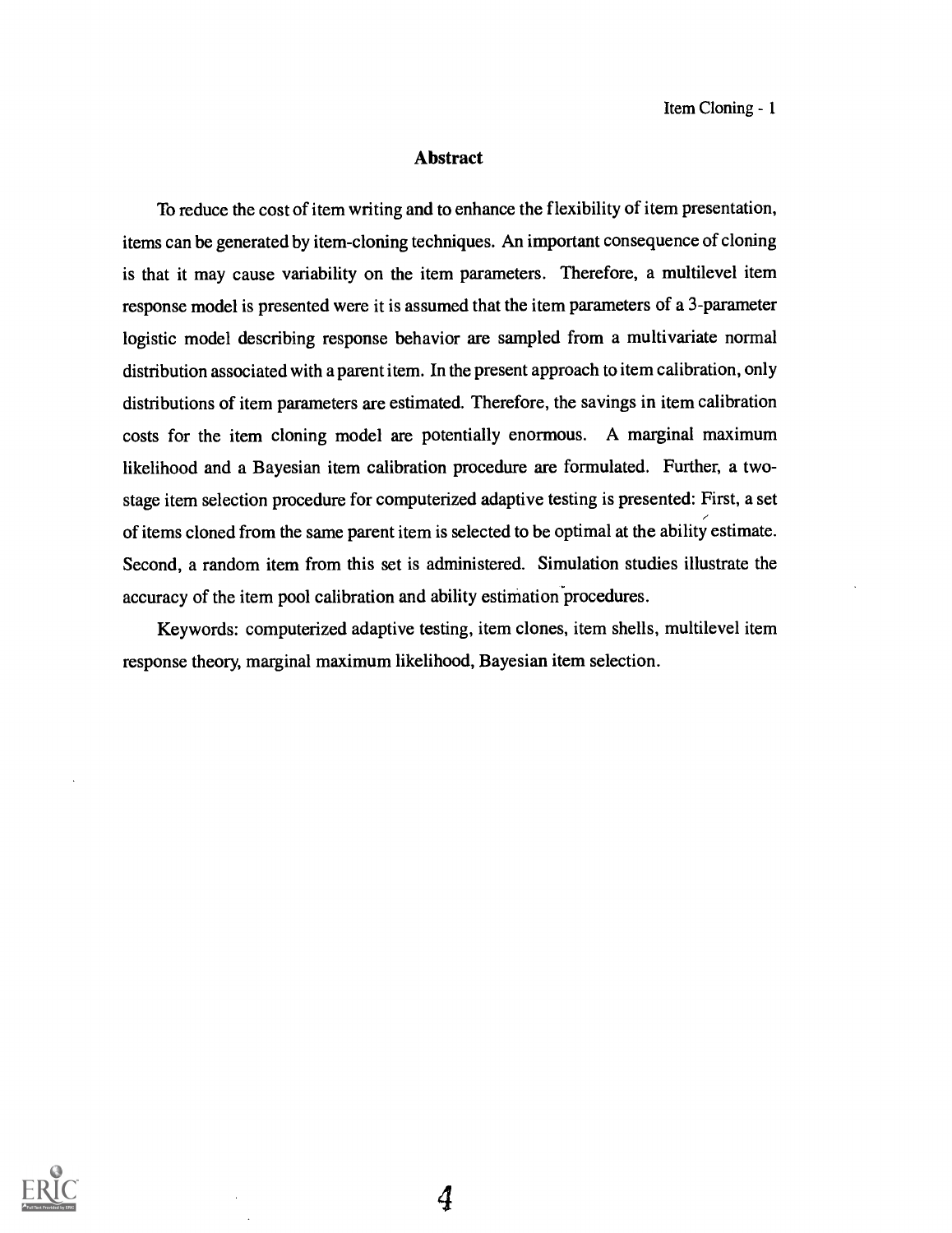## Abstract

To reduce the cost of item writing and to enhance the flexibility of item presentation, items can be generated by item-cloning techniques. An important consequence of cloning is that it may cause variability on the item parameters. Therefore, a multilevel item response model is presented were it is assumed that the item parameters of a 3-parameter logistic model describing response behavior are sampled from a multivariate normal distribution associated with a parent item. In the present approach to item calibration, only distributions of item parameters are estimated. Therefore, the savings in item calibration costs for the item cloning model are potentially enormous. A marginal maximum likelihood and a Bayesian item calibration procedure are formulated. Further, a twostage item selection procedure for computerized adaptive testing is presented: First, a set of items cloned from the same parent item is selected to be optimal at the ability estimate. Second, a random item from this set is administered. Simulation studies illustrate the accuracy of the item pool calibration and ability estimation procedures.

Keywords: computerized adaptive testing, item clones, item shells, multilevel item response theory, marginal maximum likelihood, Bayesian item selection.

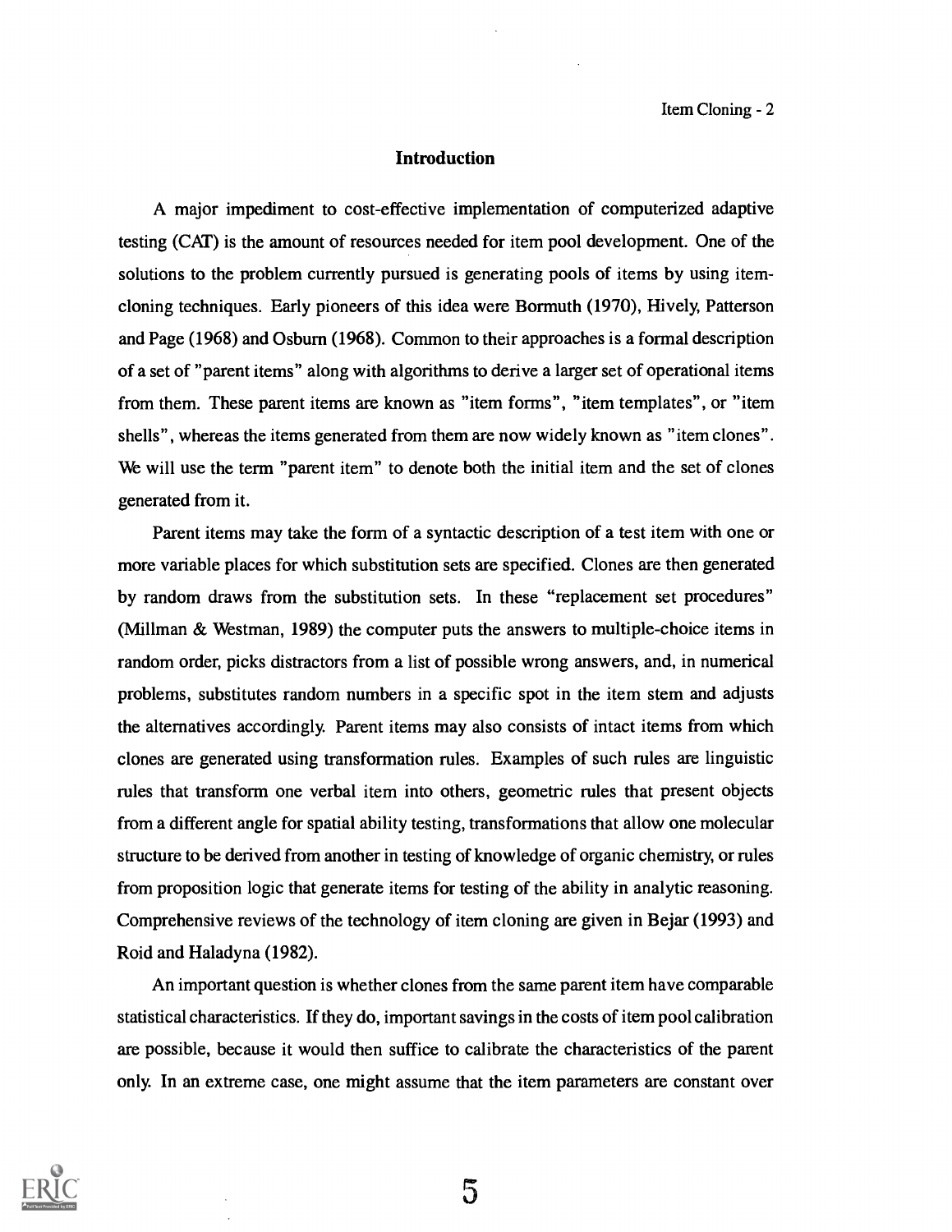Item Cloning - 2

# Introduction

A major impediment to cost-effective implementation of computerized adaptive testing (CAT) is the amount of resources needed for item pool development. One of the solutions to the problem currently pursued is generating pools of items by using itemcloning techniques. Early pioneers of this idea were Bormuth (1970), Hively, Patterson and Page (1968) and Osburn (1968). Common to their approaches is a formal description of a set of "parent items" along with algorithms to derive a larger set of operational items from them. These parent items are known as "item forms", "item templates", or "item shells", whereas the items generated from them are now widely known as "item clones". We will use the term "parent item" to denote both the initial item and the set of clones generated from it.

Parent items may take the form of a syntactic description of a test item with one or more variable places for which substitution sets are specified. Clones are then generated by random draws from the substitution sets. In these "replacement set procedures" (Millman & Westman, 1989) the computer puts the answers to multiple-choice items in random order, picks distractors from a list of possible wrong answers, and, in numerical problems, substitutes random numbers in a specific spot in the item stem and adjusts the alternatives accordingly. Parent items may also consists of intact items from which clones are generated using transformation rules. Examples of such rules are linguistic rules that transform one verbal item into others, geometric rules that present objects from a different angle for spatial ability testing, transformations that allow one molecular structure to be derived from another in testing of knowledge of organic chemistry, or rules from proposition logic that generate items for testing of the ability in analytic reasoning. Comprehensive reviews of the technology of item cloning are given in Bejar (1993) and Roid and Haladyna (1982).

An important question is whether clones from the same parent item have comparable statistical characteristics. If they do, important savings in the costs of item pool calibration are possible, because it would then suffice to calibrate the characteristics of the parent only. In an extreme case, one might assume that the item parameters are constant over

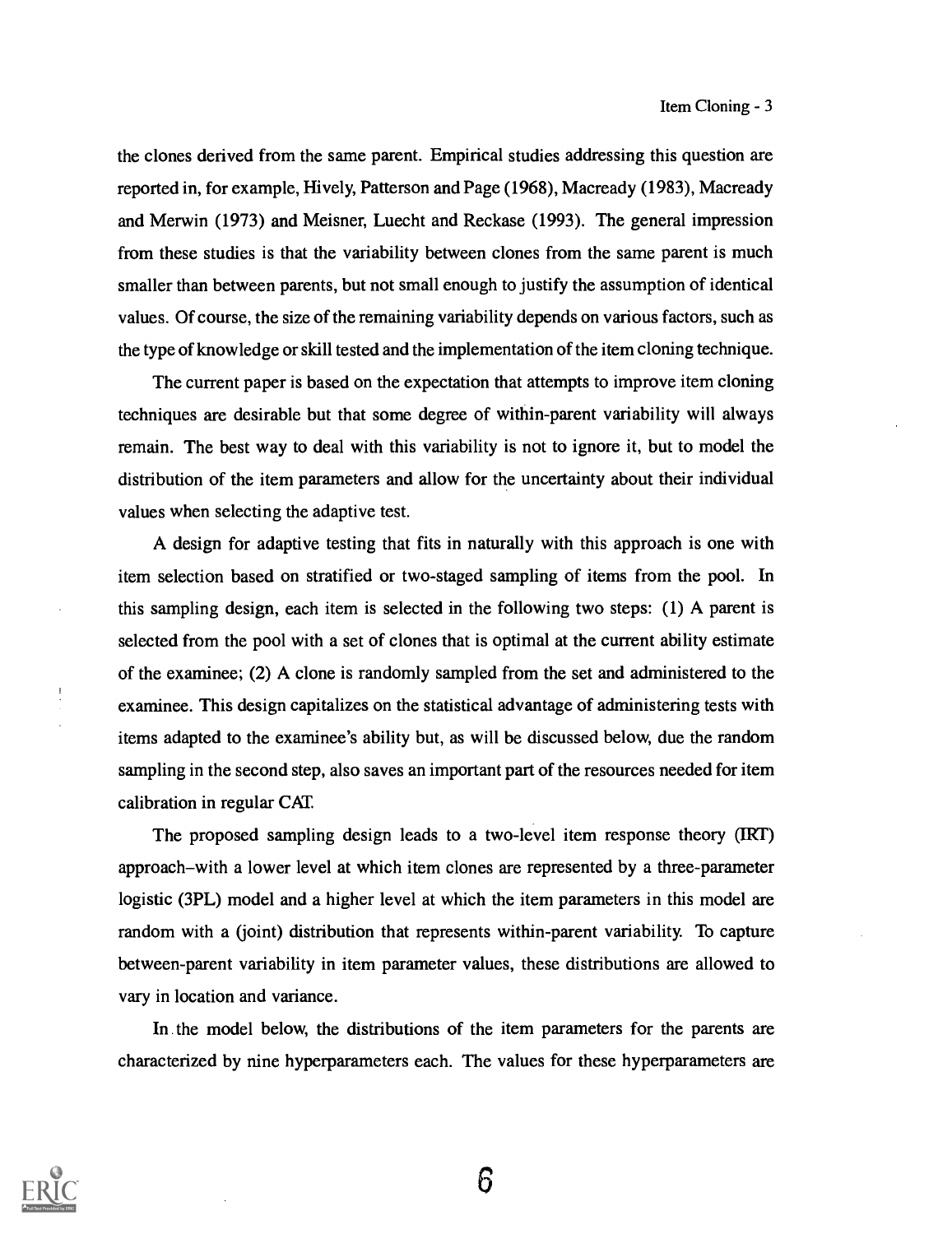the clones derived from the same parent. Empirical studies addressing this question are reported in, for example, Hively, Patterson and Page (1968), Macready (1983), Macready and Merwin (1973) and Meisner, Luecht and Reckase (1993). The general impression from these studies is that the variability between clones from the same parent is much smaller than between parents, but not small enough to justify the assumption of identical values. Of course, the size of the remaining variability depends on various factors, such as the type of knowledge or skill tested and the implementation of the item cloning technique.

The current paper is based on the expectation that attempts to improve item cloning techniques are desirable but that some degree of within-parent variability will always remain. The best way to deal with this variability is not to ignore it, but to model the distribution of the item parameters and allow for the uncertainty about their individual values when selecting the adaptive test.

A design for adaptive testing that fits in naturally with this approach is one with item selection based on stratified or two-staged sampling of items from the pool. In this sampling design, each item is selected in the following two steps: (1) A parent is selected from the pool with a set of clones that is optimal at the current ability estimate of the examinee; (2) A clone is randomly sampled from the set and administered to the examinee. This design capitalizes on the statistical advantage of administering tests with items adapted to the examinee's ability but, as will be discussed below, due the random sampling in the second step, also saves an important part of the resources needed for item calibration in regular CAT

The proposed sampling design leads to a two-level item response theory (IRT) approach–with a lower level at which item clones are represented by a three-parameter logistic (3PL) model and a higher level at which the item parameters in this model are random with a (joint) distribution that represents within-parent variability. To capture between-parent variability in item parameter values, these distributions are allowed to vary in location and variance.

In the model below, the distributions of the item parameters for the parents are characterized by nine hyperparameters each. The values for these hyperparameters are

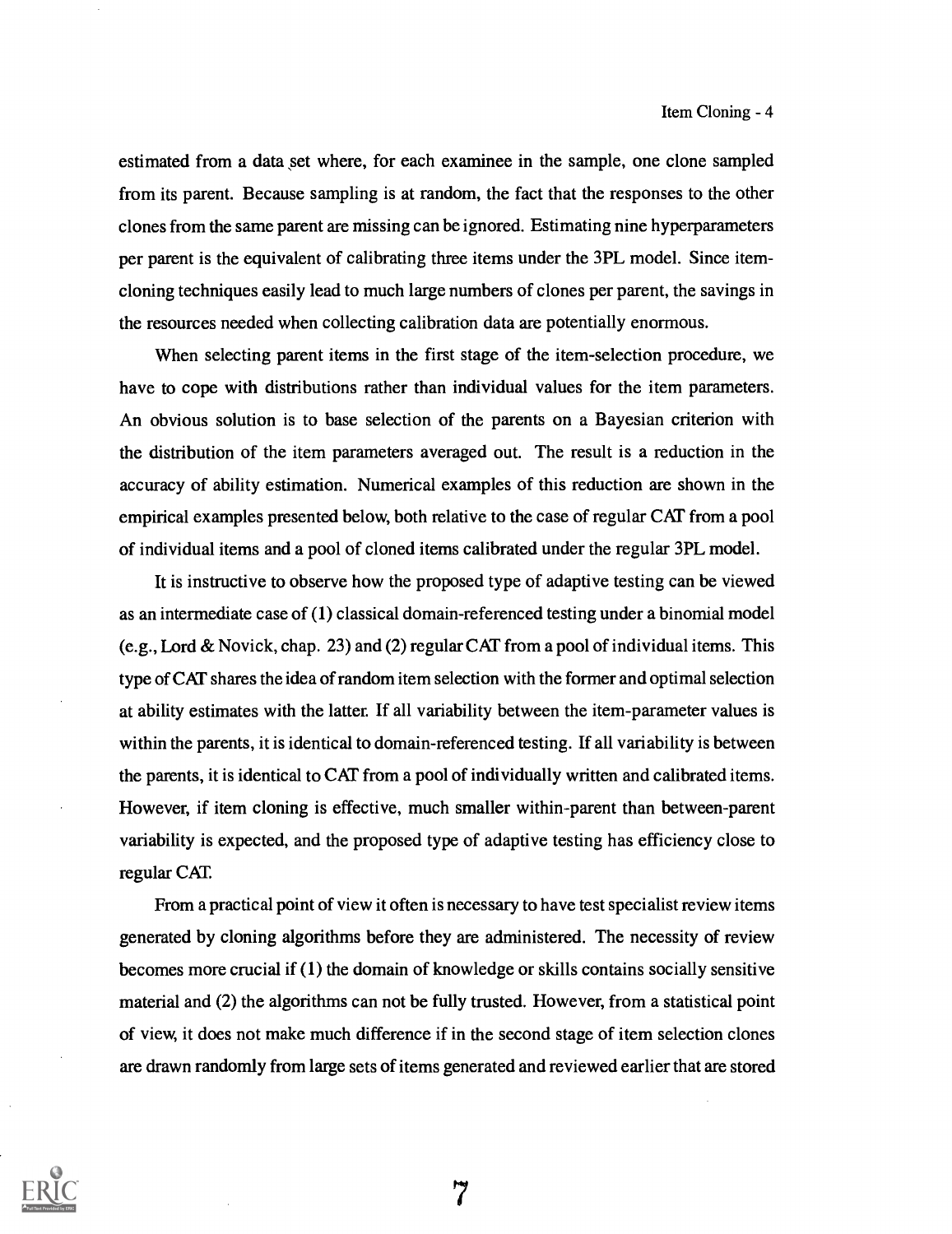estimated from a data set where, for each examinee in the sample, one clone sampled from its parent. Because sampling is at random, the fact that the responses to the other clones from the same parent are missing can be ignored. Estimating nine hyperparameters per parent is the equivalent of calibrating three items under the 3PL model. Since itemcloning techniques easily lead to much large numbers of clones per parent, the savings in the resources needed when collecting calibration data are potentially enormous.

When selecting parent items in the first stage of the item-selection procedure, we have to cope with distributions rather than individual values for the item parameters. An obvious solution is to base selection of the parents on a Bayesian criterion with the distribution of the item parameters averaged out. The result is a reduction in the accuracy of ability estimation. Numerical examples of this reduction are shown in the empirical examples presented below, both relative to the case of regular CAT from a pool of individual items and a pool of cloned items calibrated under the regular 3PL model.

It is instructive to observe how the proposed type of adaptive testing can be viewed as an intermediate case of (1) classical domain-referenced testing under a binomial model (e.g., Lord & Novick, chap. 23) and (2) regular CAT from a pool of individual items. This type of CAT shares the idea of random item selection with the former and optimal selection at ability estimates with the latter. If all variability between the item-parameter values is within the parents, it is identical to domain-referenced testing. If all variability is between the parents, it is identical to CAT from a pool of individually written and calibrated items. However, if item cloning is effective, much smaller within-parent than between-parent variability is expected, and the proposed type of adaptive testing has efficiency close to regular CAT.

From a practical point of view it often is necessary to have test specialist review items generated by cloning algorithms before they are administered. The necessity of review becomes more crucial if (1) the domain of knowledge or skills contains socially sensitive material and (2) the algorithms can not be fully trusted. However, from a statistical point of view, it does not make much difference if in the second stage of item selection clones are drawn randomly from large sets of items generated and reviewed earlier that are stored

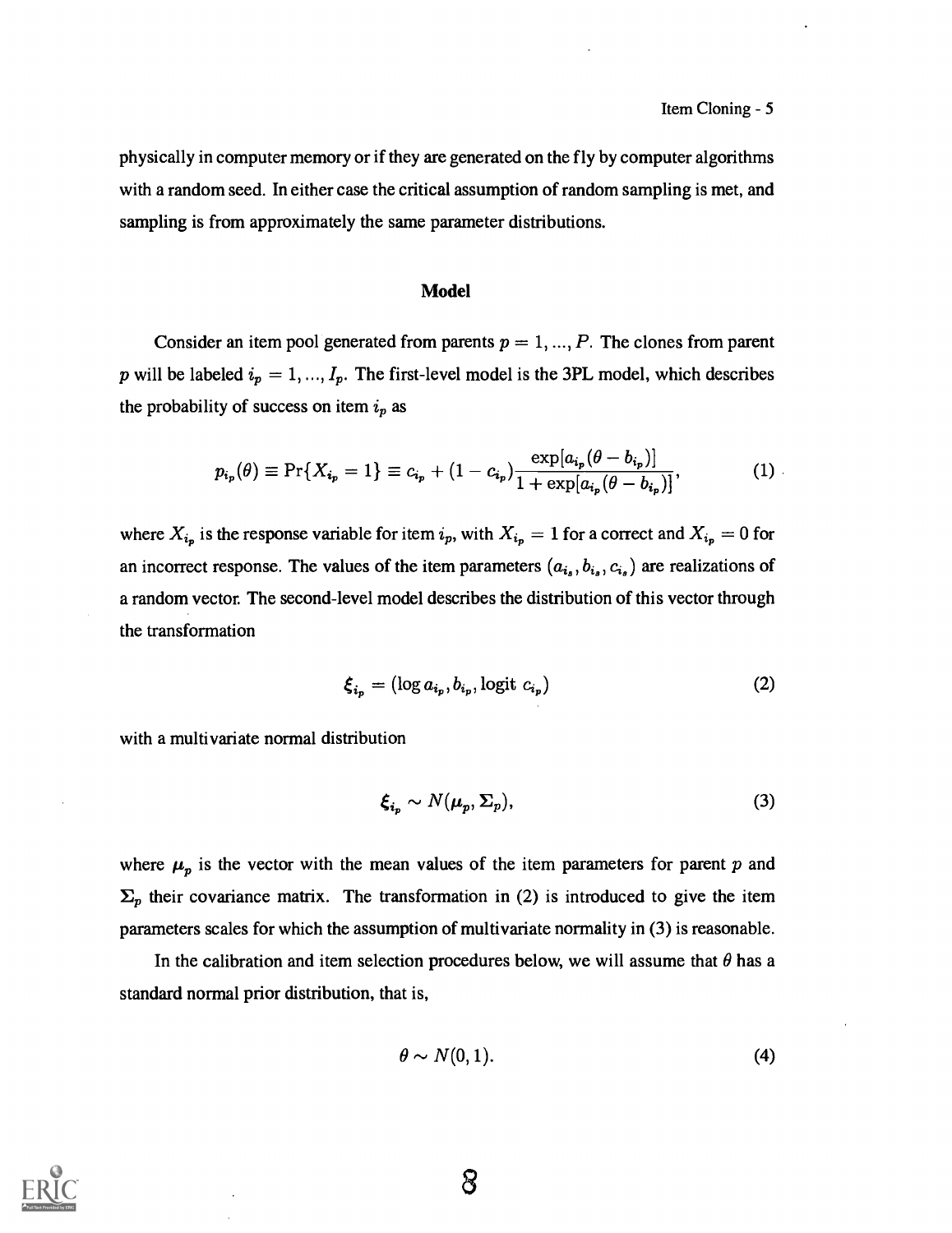physically in computer memory or if they are generated on the fly by computer algorithms with a random seed. In either case the critical assumption of random sampling is met, and sampling is from approximately the same parameter distributions.

# Model

Consider an item pool generated from parents  $p = 1, ..., P$ . The clones from parent p will be labeled  $i_p = 1, ..., I_p$ . The first-level model is the 3PL model, which describes the probability of success on item  $i_p$  as

$$
p_{i_p}(\theta) \equiv \Pr\{X_{i_p} = 1\} \equiv c_{i_p} + (1 - c_{i_p}) \frac{\exp[a_{i_p}(\theta - b_{i_p})]}{1 + \exp[a_{i_p}(\theta - b_{i_p})]},
$$
(1)

where  $X_{i_p}$  is the response variable for item  $i_p$ , with  $X_{i_p} = 1$  for a correct and  $X_{i_p} = 0$  for an incorrect response. The values of the item parameters  $(a_{i_s}, b_{i_s}, c_{i_s})$  are realizations of a random vector. The second-level model describes the distribution of this vector through the transformation

$$
\boldsymbol{\xi}_{i_p} = (\log a_{i_p}, b_{i_p}, \log \mathrm{i} t \ c_{i_p}) \tag{2}
$$

with a multivariate normal distribution

$$
\xi_{i_p} \sim N(\mu_p, \Sigma_p),\tag{3}
$$

where  $\mu_p$  is the vector with the mean values of the item parameters for parent p and  $\Sigma_p$  their covariance matrix. The transformation in (2) is introduced to give the item parameters scales for which the assumption of multivariate normality in (3) is reasonable.

In the calibration and item selection procedures below, we will assume that  $\theta$  has a standard normal prior distribution, that is,

$$
\theta \sim N(0,1). \tag{4}
$$

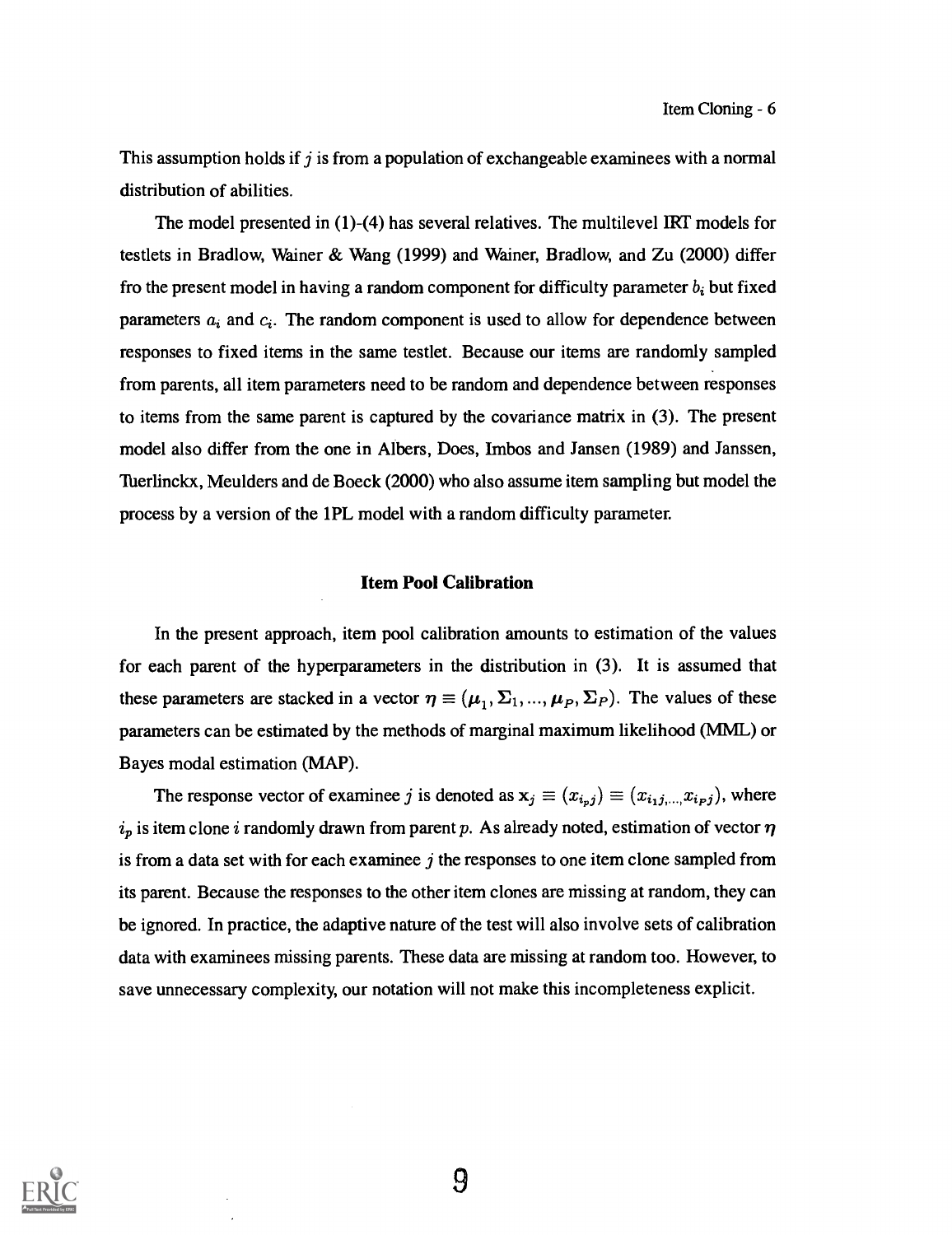This assumption holds if j is from a population of exchangeable examinees with a normal distribution of abilities.

The model presented in (1)-(4) has several relatives. The multilevel IRT models for testlets in Bradlow, Wainer & Wang  $(1999)$  and Wainer, Bradlow, and Zu  $(2000)$  differ fro the present model in having a random component for difficulty parameter  $b_i$  but fixed parameters  $a_i$  and  $c_i$ . The random component is used to allow for dependence between responses to fixed items in the same testlet. Because our items are randomly sampled from parents, all item parameters need to be random and dependence between responses to items from the same parent is captured by the covariance matrix in (3). The present model also differ from the one in Albers, Does, Imbos and Jansen (1989) and Janssen, Tuerlinckx, Meulders and de Boeck (2000) who also assume item sampling but model the process by a version of the 1PL model with a random difficulty parameter.

# Item Pool Calibration

In the present approach, item pool calibration amounts to estimation of the values for each parent of the hyperparameters in the distribution in (3). It is assumed that these parameters are stacked in a vector  $\eta \equiv (\mu_1, \Sigma_1, ..., \mu_P, \Sigma_P)$ . The values of these parameters can be estimated by the methods of marginal maximum likelihood (MML) or Bayes modal estimation (MAP).

The response vector of examinee j is denoted as  $x_j \equiv (x_{i_1j_1} \ldots x_{i_pj})$ , where  $i_p$  is item clone i randomly drawn from parent p. As already noted, estimation of vector  $\eta$ is from a data set with for each examinee  $j$  the responses to one item clone sampled from its parent. Because the responses to the other item clones are missing at random, they can be ignored. In practice, the adaptive nature of the test will also involve sets of calibration data with examinees missing parents. These data are missing at random too. However, to save unnecessary complexity, our notation will not make this incompleteness explicit.

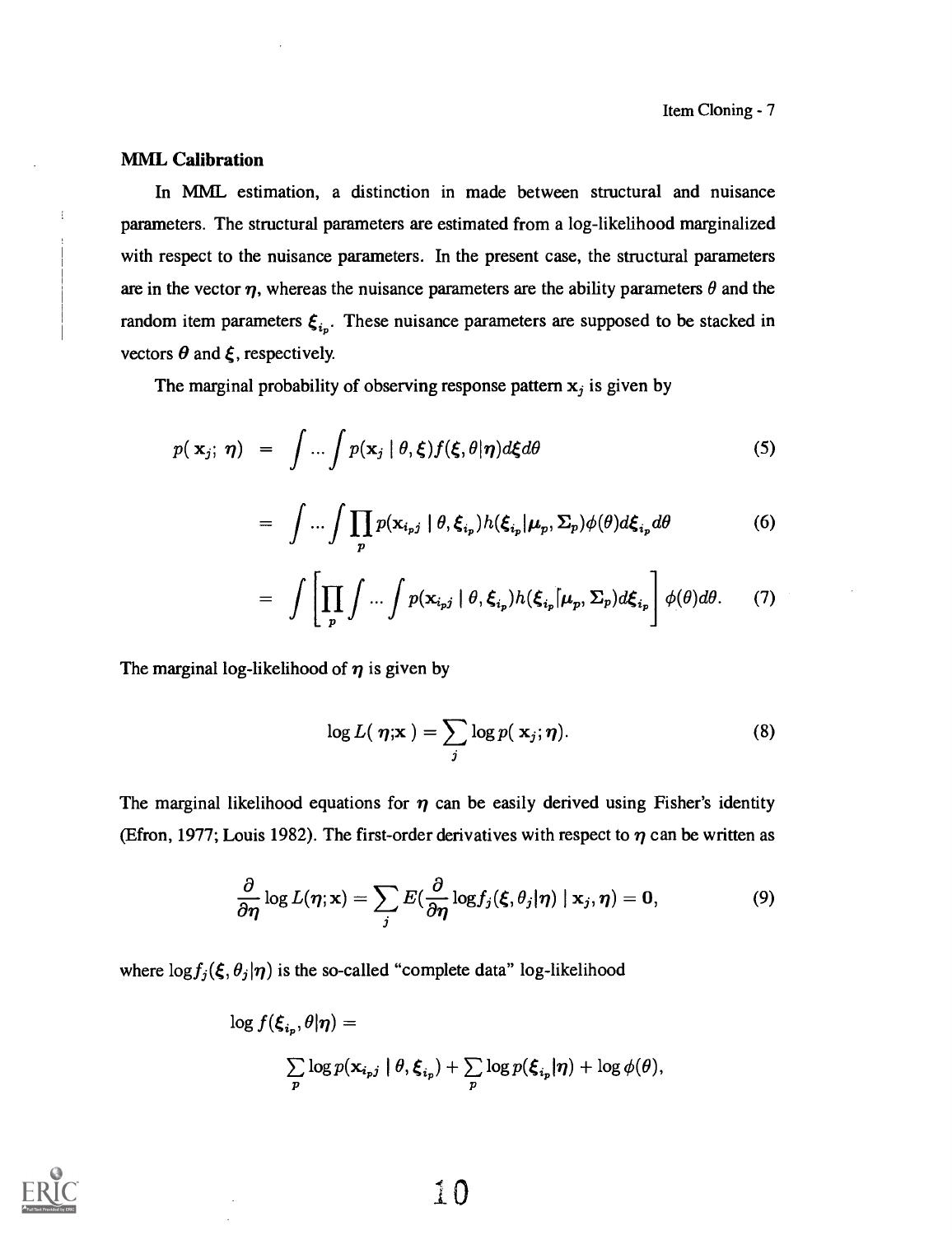# MML Calibration

I

In MML estimation, a distinction in made between structural and nuisance parameters. The structural parameters are estimated from a log-likelihood marginalized with respect to the nuisance parameters. In the present case, the structural parameters are in the vector  $\eta$ , whereas the nuisance parameters are the ability parameters  $\theta$  and the random item parameters  $\xi_{i_p}$ . These nuisance parameters are supposed to be stacked in vectors  $\theta$  and  $\xi$ , respectively.

The marginal probability of observing response pattern  $x_j$  is given by

$$
p(\mathbf{x}_j; \boldsymbol{\eta}) = \int \ldots \int p(\mathbf{x}_j \mid \theta, \boldsymbol{\xi}) f(\boldsymbol{\xi}, \theta | \boldsymbol{\eta}) d\boldsymbol{\xi} d\theta \qquad (5)
$$

$$
= \int \dots \int \prod_{p} p(\mathbf{x}_{i_p j} | \theta, \xi_{i_p}) h(\xi_{i_p} | \boldsymbol{\mu}_p, \boldsymbol{\Sigma}_p) \phi(\theta) d\xi_{i_p} d\theta \tag{6}
$$

$$
= \int \left[ \prod_{p} \int ... \int p(\mathbf{x}_{i_{p}j} \mid \theta, \xi_{i_{p}}) h(\xi_{i_{p}} \mid \mu_{p}, \Sigma_{p}) d\xi_{i_{p}} \right] \phi(\theta) d\theta. \tag{7}
$$

The marginal log-likelihood of  $\eta$  is given by

$$
\log L(\boldsymbol{\eta}; \mathbf{x}) = \sum_{j} \log p(\mathbf{x}_j; \boldsymbol{\eta}). \tag{8}
$$

The marginal likelihood equations for  $\eta$  can be easily derived using Fisher's identity (Efron, 1977; Louis 1982). The first-order derivatives with respect to  $\eta$  can be written as

$$
\frac{\partial}{\partial \eta} \log L(\eta; \mathbf{x}) = \sum_j E(\frac{\partial}{\partial \eta} \log f_j(\xi, \theta_j | \eta) | \mathbf{x}_j, \eta) = \mathbf{0}, \tag{9}
$$

where  $\log f_j(\xi, \theta_j | \eta)$  is the so-called "complete data" log-likelihood

$$
\log f(\xi_{i_p}, \theta | \boldsymbol{\eta}) =
$$
  

$$
\sum_{p} \log p(\mathbf{x}_{i_p j} | \theta, \xi_{i_p}) + \sum_{p} \log p(\xi_{i_p} | \boldsymbol{\eta}) + \log \phi(\theta),
$$

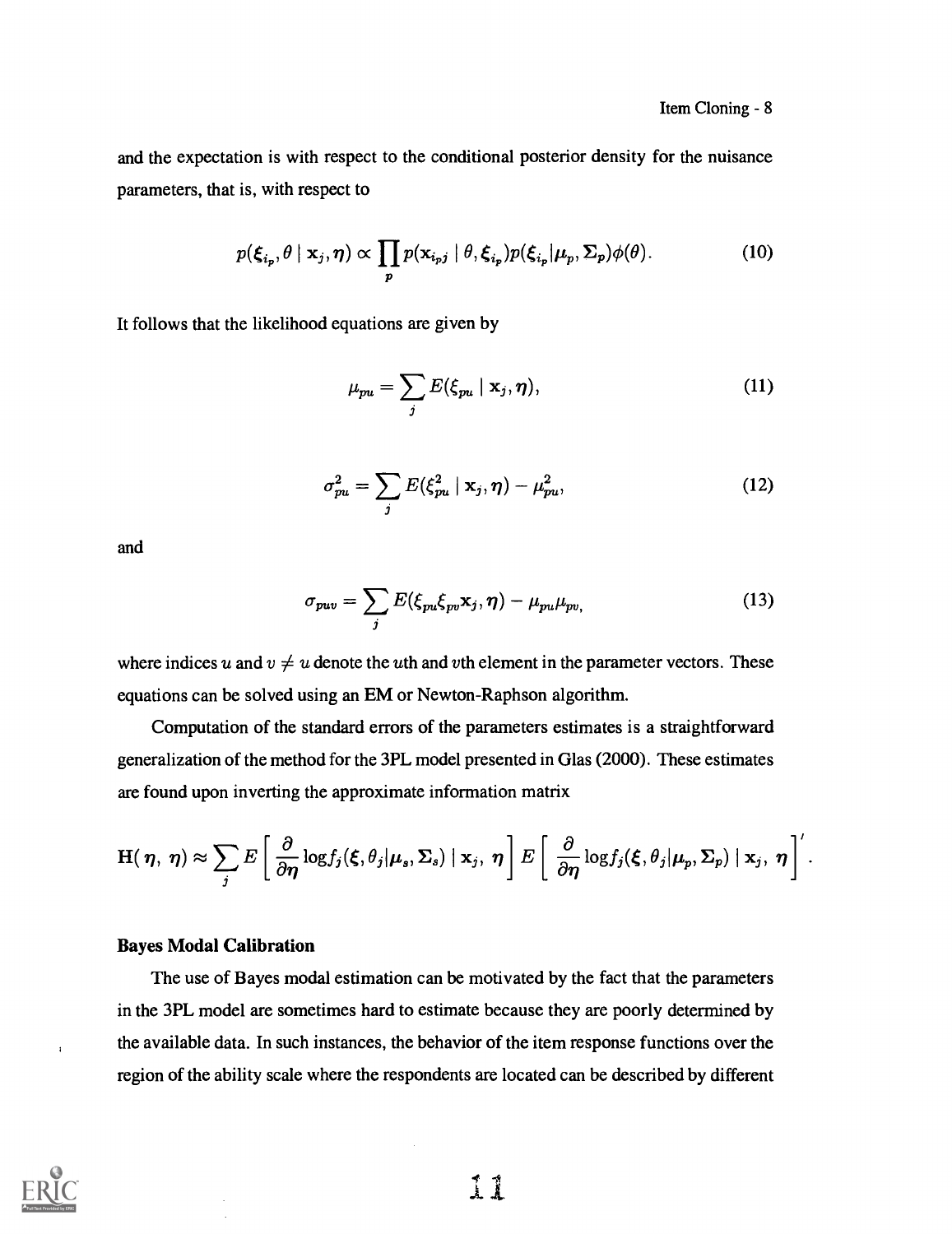and the expectation is with respect to the conditional posterior density for the nuisance parameters, that is, with respect to

$$
p(\xi_{i_p}, \theta \mid \mathbf{x}_j, \boldsymbol{\eta}) \propto \prod_p p(\mathbf{x}_{i_p j} \mid \theta, \xi_{i_p}) p(\xi_{i_p} | \boldsymbol{\mu}_p, \boldsymbol{\Sigma}_p) \phi(\theta).
$$
 (10)

It follows that the likelihood equations are given by

$$
\mu_{pu} = \sum_{j} E(\xi_{pu} \mid \mathbf{x}_j, \boldsymbol{\eta}), \qquad (11)
$$

$$
\sigma_{pu}^2 = \sum_j E(\xi_{pu}^2 \mid \mathbf{x}_j, \boldsymbol{\eta}) - \mu_{pu}^2, \qquad (12)
$$

and

$$
\sigma_{puv} = \sum_{j} E(\xi_{pu}\xi_{pv}\mathbf{x}_j, \boldsymbol{\eta}) - \mu_{pu}\mu_{pv}, \qquad (13)
$$

where indices u and  $v \neq u$  denote the uth and vth element in the parameter vectors. These equations can be solved using an EM or Newton-Raphson algorithm.

Computation of the standard errors of the parameters estimates is a straightforward generalization of the method for the 3PL model presented in Glas (2000). These estimates are found upon inverting the approximate information matrix

$$
\mathbf{H}(\boldsymbol{\eta},\boldsymbol{\eta}) \approx \sum_j E\left[\frac{\partial}{\partial \boldsymbol{\eta}} \log f_j(\boldsymbol{\xi},\theta_j | \boldsymbol{\mu}_s,\boldsymbol{\Sigma}_s) \mid \mathbf{x}_j,\boldsymbol{\eta}\right] E\left[\frac{\partial}{\partial \boldsymbol{\eta}} \log f_j(\boldsymbol{\xi},\theta_j | \boldsymbol{\mu}_p,\boldsymbol{\Sigma}_p) \mid \mathbf{x}_j,\boldsymbol{\eta}\right]^\prime.
$$

# Bayes Modal Calibration

The use of Bayes modal estimation can be motivated by the fact that the parameters in the 3PL model are sometimes hard to estimate because they are poorly determined by the available data. In such instances, the behavior of the item response functions over the region of the ability scale where the respondents are located can be described by different



 $\mathbf{I}$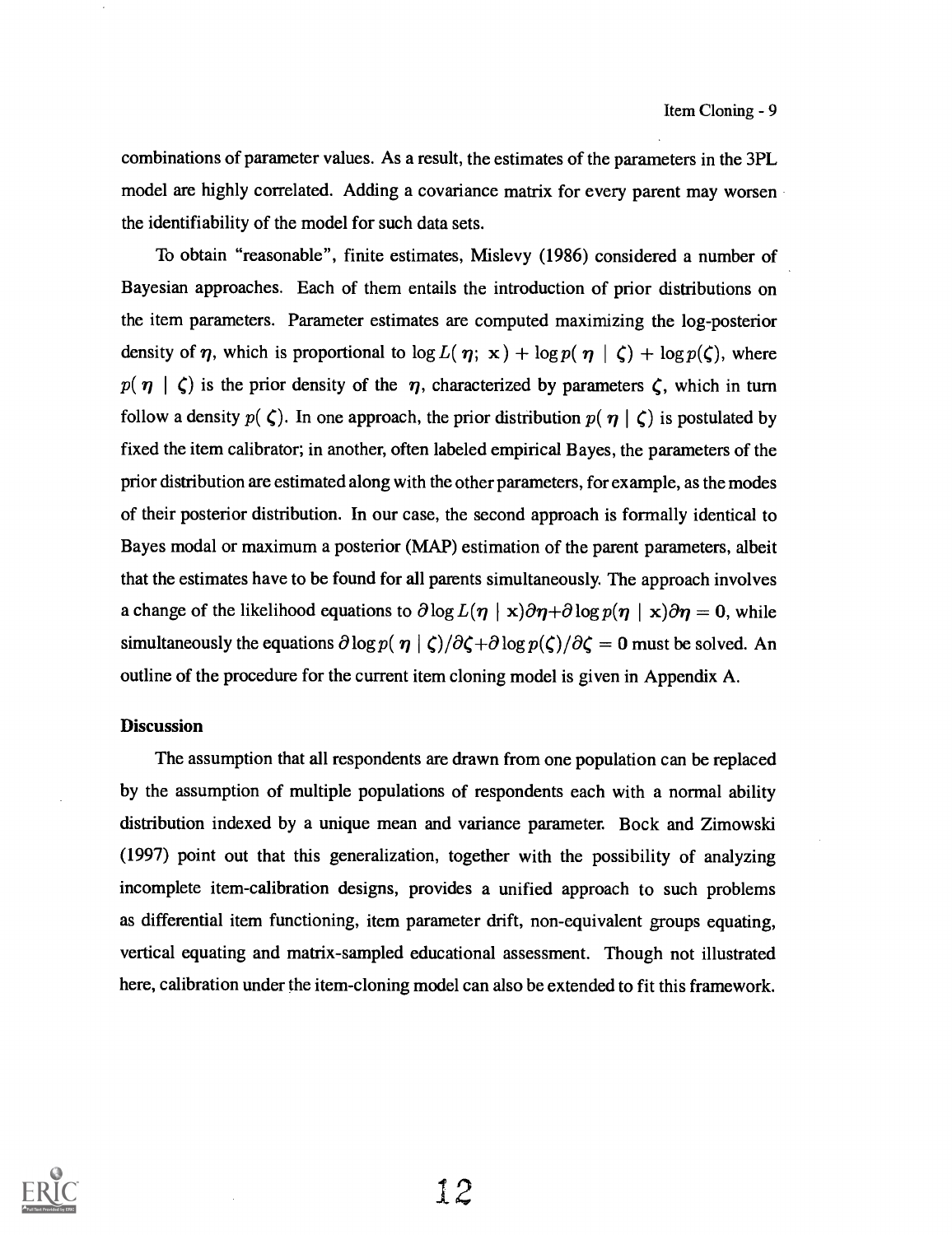combinations of parameter values. As a result, the estimates of the parameters in the 3PL model are highly correlated. Adding a covariance matrix for every parent may worsen the identifiability of the model for such data sets.

To obtain "reasonable", finite estimates, Mislevy (1986) considered a number of Bayesian approaches. Each of them entails the introduction of prior distributions on the item parameters. Parameter estimates are computed maximizing the log-posterior density of  $\eta$ , which is proportional to  $\log L(\eta; \mathbf{x}) + \log p(\eta | \zeta) + \log p(\zeta)$ , where  $p(\eta | \zeta)$  is the prior density of the  $\eta$ , characterized by parameters  $\zeta$ , which in turn follow a density  $p(\zeta)$ . In one approach, the prior distribution  $p(\eta | \zeta)$  is postulated by fixed the item calibrator; in another, often labeled empirical Bayes, the parameters of the prior distribution are estimated along with the other parameters, for example, as the modes of their posterior distribution. In our case, the second approach is formally identical to Bayes modal or maximum a posterior (MAP) estimation of the parent parameters, albeit that the estimates have to be found for all parents simultaneously. The approach involves a change of the likelihood equations to  $\partial \log L(\eta \mid x)\partial \eta + \partial \log p(\eta \mid x)\partial \eta = 0$ , while simultaneously the equations  $\partial \log p(\eta | \zeta)/\partial \zeta + \partial \log p(\zeta)/\partial \zeta = 0$  must be solved. An outline of the procedure for the current item cloning model is given in Appendix A.

#### **Discussion**

The assumption that all respondents are drawn from one population can be replaced by the assumption of multiple populations of respondents each with a normal ability distribution indexed by a unique mean and variance parameter. Bock and Zimowski (1997) point out that this generalization, together with the possibility of analyzing incomplete item-calibration designs, provides a unified approach to such problems as differential item functioning, item parameter drift, non-equivalent groups equating, vertical equating and matrix-sampled educational assessment. Though not illustrated here, calibration under the item-cloning model can also be extended to fit this framework.

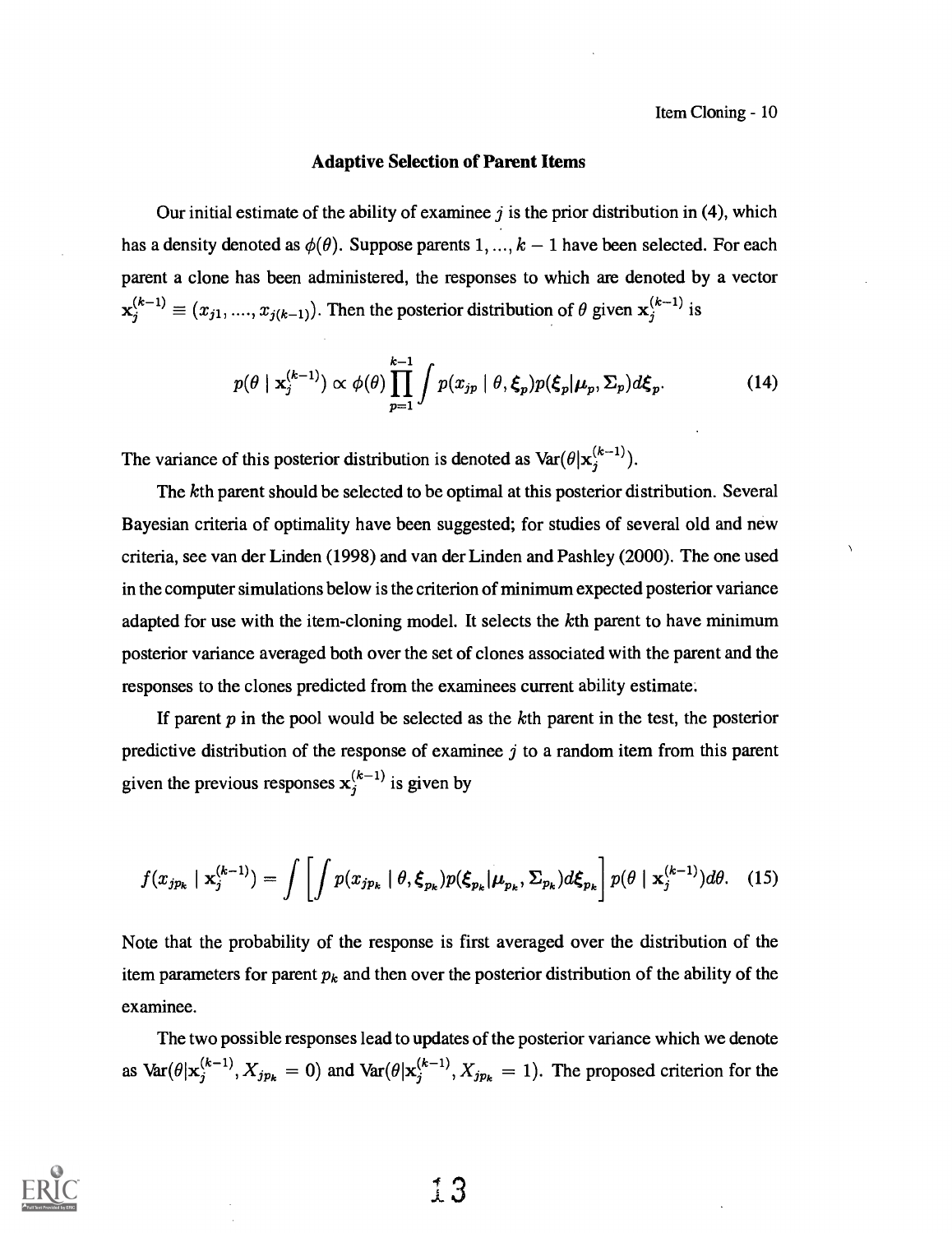## Adaptive Selection of Parent Items

Our initial estimate of the ability of examinee  $j$  is the prior distribution in (4), which has a density denoted as  $\phi(\theta)$ . Suppose parents 1, ...,  $k-1$  have been selected. For each parent a clone has been administered, the responses to which are denoted by a vector  $\mathbf{x}_j^{(k-1)} \equiv (x_{j1}, ..., x_{j(k-1)})$ . Then the posterior distribution of  $\theta$  given  $\mathbf{x}_j^{(k-1)}$  is

$$
p(\theta \mid \mathbf{x}_{j}^{(k-1)}) \propto \phi(\theta) \prod_{p=1}^{k-1} \int p(x_{jp} \mid \theta, \xi_p) p(\xi_p | \mu_p, \Sigma_p) d\xi_p.
$$
 (14)

The variance of this posterior distribution is denoted as  $\text{Var}(\theta|\mathbf{x}_i^{(k-1)})$ .

The kth parent should be selected to be optimal at this posterior distribution. Several Bayesian criteria of optimality have been suggested; for studies of several old and new criteria, see van der Linden (1998) and van der Linden and Pashley (2000). The one used in the computer simulations below is the criterion of minimum expected posterior variance adapted for use with the item-cloning model. It selects the kth parent to have minimum posterior variance averaged both over the set of clones associated with the parent and the responses to the clones predicted from the examinees current ability estimate.

If parent  $p$  in the pool would be selected as the  $k$ th parent in the test, the posterior predictive distribution of the response of examinee  $j$  to a random item from this parent given the previous responses  $x_i^{(k-1)}$  is given by

$$
f(x_{jp_k} \mid \mathbf{x}_j^{(k-1)}) = \int \left[ \int p(x_{jp_k} \mid \theta, \boldsymbol{\xi}_{p_k}) p(\boldsymbol{\xi}_{p_k} | \boldsymbol{\mu}_{p_k}, \boldsymbol{\Sigma}_{p_k}) d\boldsymbol{\xi}_{p_k} \right] p(\theta \mid \mathbf{x}_j^{(k-1)}) d\theta. \quad (15)
$$

Note that the probability of the response is first averaged over the distribution of the item parameters for parent  $p_k$  and then over the posterior distribution of the ability of the examinee.

The two possible responses lead to updates of the posterior variance which we denote as  $\text{Var}(\theta|\mathbf{x}_j^{(k-1)}, X_{jp_k} = 0)$  and  $\text{Var}(\theta|\mathbf{x}_j^{(k-1)}, X_{jp_k} = 1)$ . The proposed criterion for the

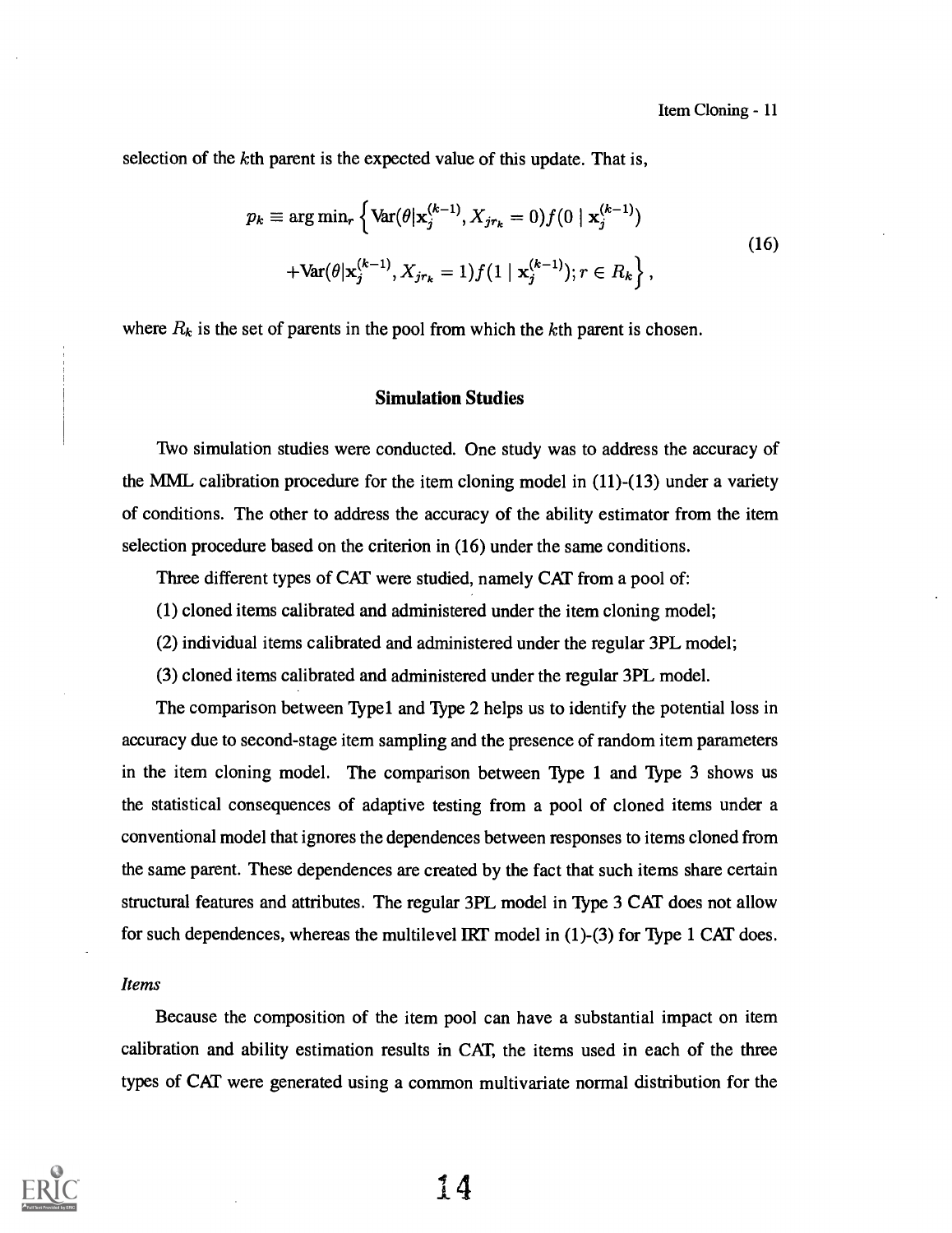selection of the kth parent is the expected value of this update. That is,

$$
p_k \equiv \arg \min_{r} \left\{ \text{Var}(\theta | \mathbf{x}_j^{(k-1)}, X_{jr_k} = 0) f(0 | \mathbf{x}_j^{(k-1)}) + \text{Var}(\theta | \mathbf{x}_j^{(k-1)}, X_{jr_k} = 1) f(1 | \mathbf{x}_j^{(k-1)}); r \in R_k \right\},
$$
\n(16)

where  $R_k$  is the set of parents in the pool from which the kth parent is chosen.

# Simulation Studies

Two simulation studies were conducted. One study was to address the accuracy of the MML calibration procedure for the item cloning model in (11)-(13) under a variety of conditions. The other to address the accuracy of the ability estimator from the item selection procedure based on the criterion in (16) under the same conditions.

Three different types of CAT were studied, namely CAT from a pool of:

- (1) cloned items calibrated and administered under the item cloning model;
- (2) individual items calibrated and administered under the regular 3PL model;
- (3) cloned items calibrated and administered under the regular 3PL model.

The comparison between Typel and Type 2 helps us to identify the potential loss in accuracy due to second-stage item sampling and the presence of random item parameters in the item cloning model. The comparison between Type 1 and Type 3 shows us the statistical consequences of adaptive testing from a pool of cloned items under a conventional model that ignores the dependences between responses to items cloned from the same parent. These dependences are created by the fact that such items share certain structural features and attributes. The regular 3PL model in Type 3 CAT does not allow for such dependences, whereas the multilevel IRT model in (1)-(3) for Type 1 CAT does.

### Items

Because the composition of the item pool can have a substantial impact on item calibration and ability estimation results in CAT, the items used in each of the three types of CAT were generated using a common multivariate normal distribution for the

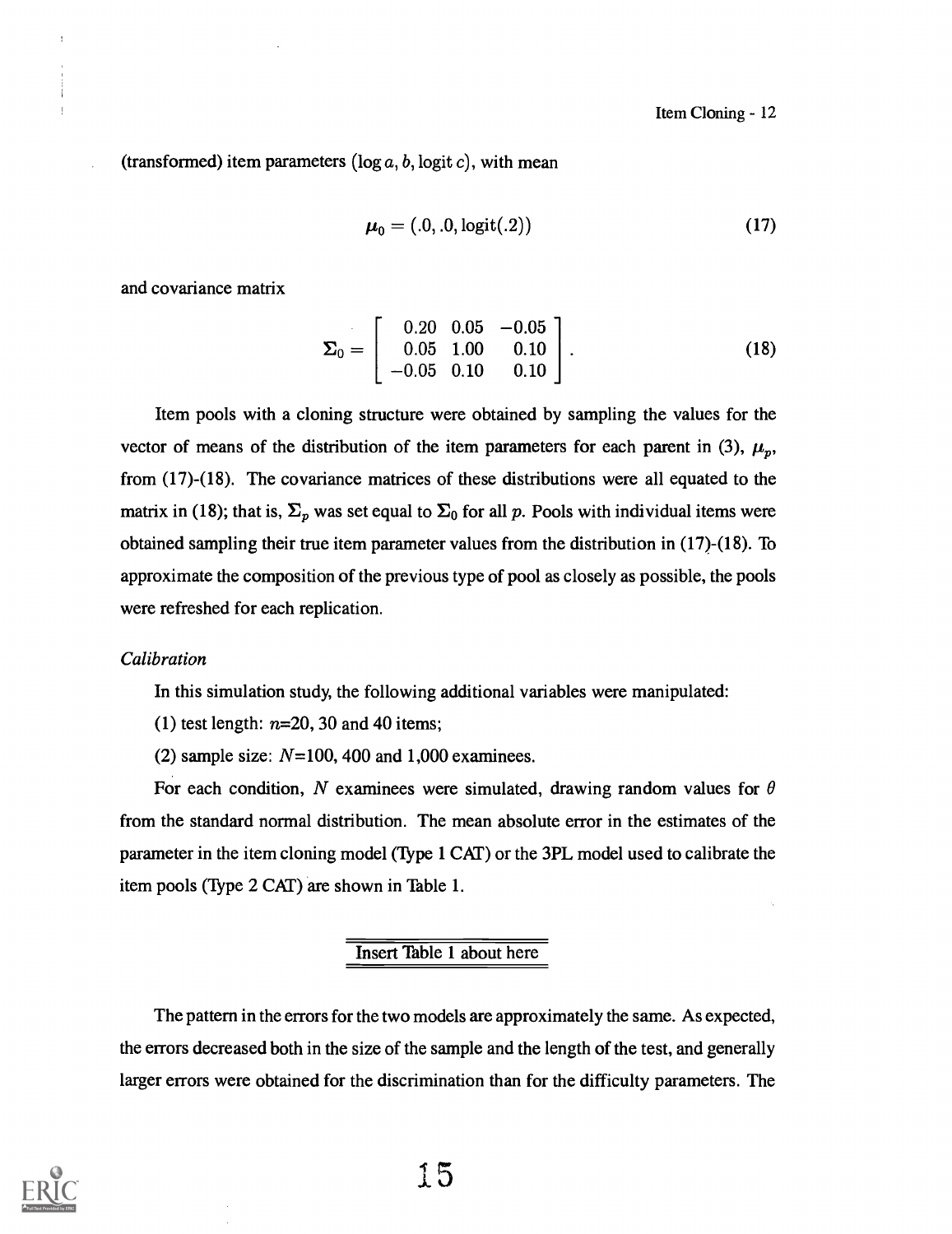(transformed) item parameters  $(\log a, b, \log it)$ , with mean

$$
\boldsymbol{\mu}_0 = (.0, .0, \text{logit}(.2)) \tag{17}
$$

and covariance matrix

$$
\Sigma_0 = \left[ \begin{array}{ccc} 0.20 & 0.05 & -0.05 \\ 0.05 & 1.00 & 0.10 \\ -0.05 & 0.10 & 0.10 \end{array} \right].
$$
 (18)

Item pools with a cloning structure were obtained by sampling the values for the vector of means of the distribution of the item parameters for each parent in (3),  $\mu_p$ , from (17)-(18). The covariance matrices of these distributions were all equated to the matrix in (18); that is,  $\Sigma_p$  was set equal to  $\Sigma_0$  for all p. Pools with individual items were obtained sampling their true item parameter values from the distribution in (17)-(18). To approximate the composition of the previous type of pool as closely as possible, the pools were refreshed for each replication.

#### Calibration

In this simulation study, the following additional variables were manipulated:

- (1) test length:  $n=20$ , 30 and 40 items;
- (2) sample size:  $N=100$ , 400 and 1,000 examinees.

For each condition, N examinees were simulated, drawing random values for  $\theta$ from the standard normal distribution. The mean absolute error in the estimates of the parameter in the item cloning model (Type 1 CAT) or the 3PL model used to calibrate the item pools (Type 2 CAT) are shown in Table 1.

# Insert Table 1 about here

The pattern in the errors for the two models are approximately the same. As expected, the errors decreased both in the size of the sample and the length of the test, and generally larger errors were obtained for the discrimination than for the difficulty parameters. The

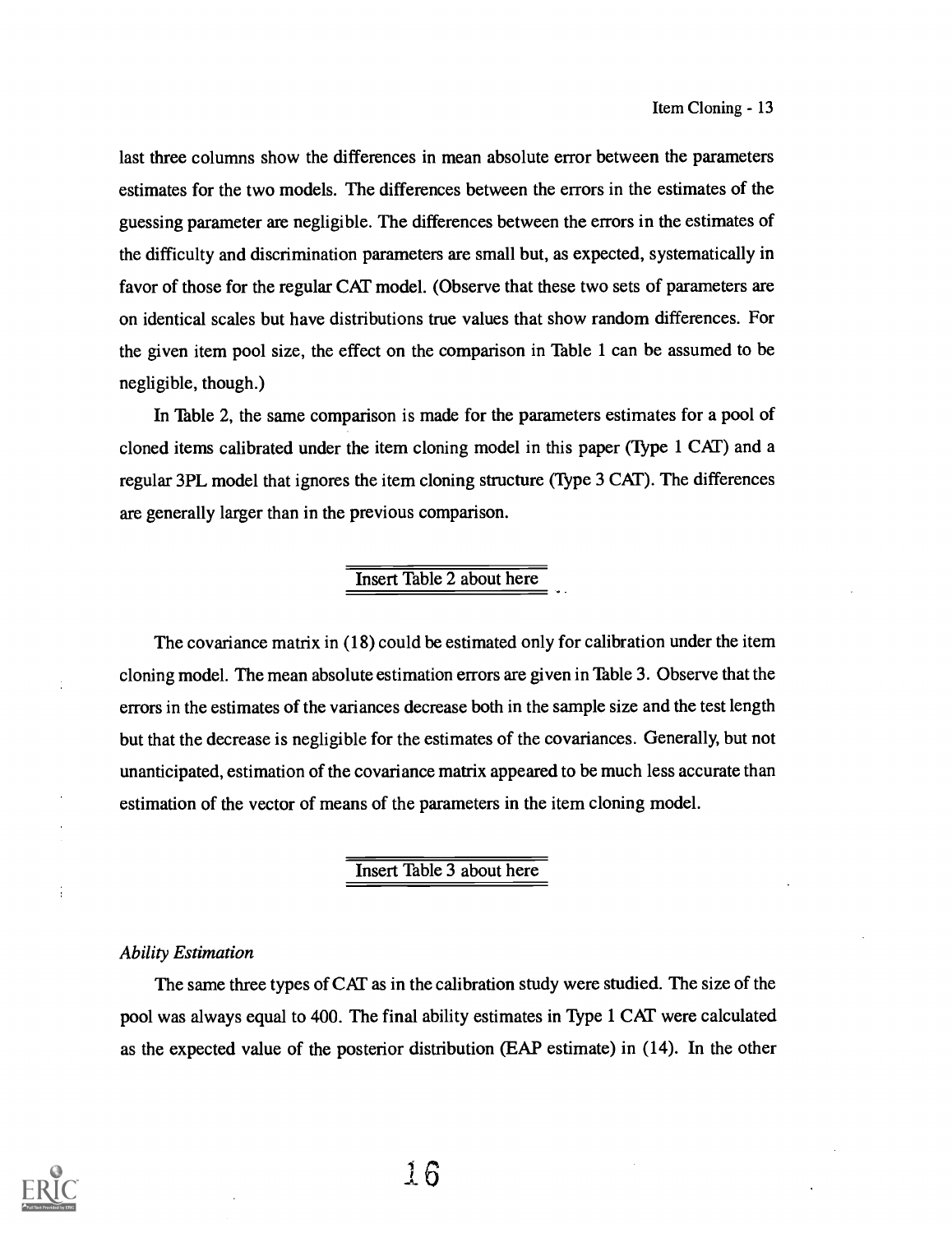last three columns show the differences in mean absolute error between the parameters estimates for the two models. The differences between the errors in the estimates of the guessing parameter are negligible. The differences between the errors in the estimates of the difficulty and discrimination parameters are small but, as expected, systematically in favor of those for the regular CAT model. (Observe that these two sets of parameters are on identical scales but have distributions true values that show random differences. For the given item pool size, the effect on the comparison in Table 1 can be assumed to be negligible, though.)

In Table 2, the same comparison is made for the parameters estimates for a pool of cloned items calibrated under the item cloning model in this paper (Type 1 CAT) and a regular 3PL model that ignores the item cloning structure (Type 3 CAT). The differences are generally larger than in the previous comparison.

# Insert Table 2 about here

The covariance matrix in (18) could be estimated only for calibration under the item cloning model. The mean absolute estimation errors are given in Table 3. Observe that the errors in the estimates of the variances decrease both in the sample size and the test length but that the decrease is negligible for the estimates of the covariances. Generally, but not unanticipated, estimation of the covariance matrix appeared to be much less accurate than estimation of the vector of means of the parameters in the item cloning model.

# Insert Table 3 about here

# Ability Estimation

The same three types of CAT as in the calibration study were studied. The size of the pool was always equal to 400. The final ability estimates in Type 1 CAT were calculated as the expected value of the posterior distribution (EAP estimate) in (14). In the other



÷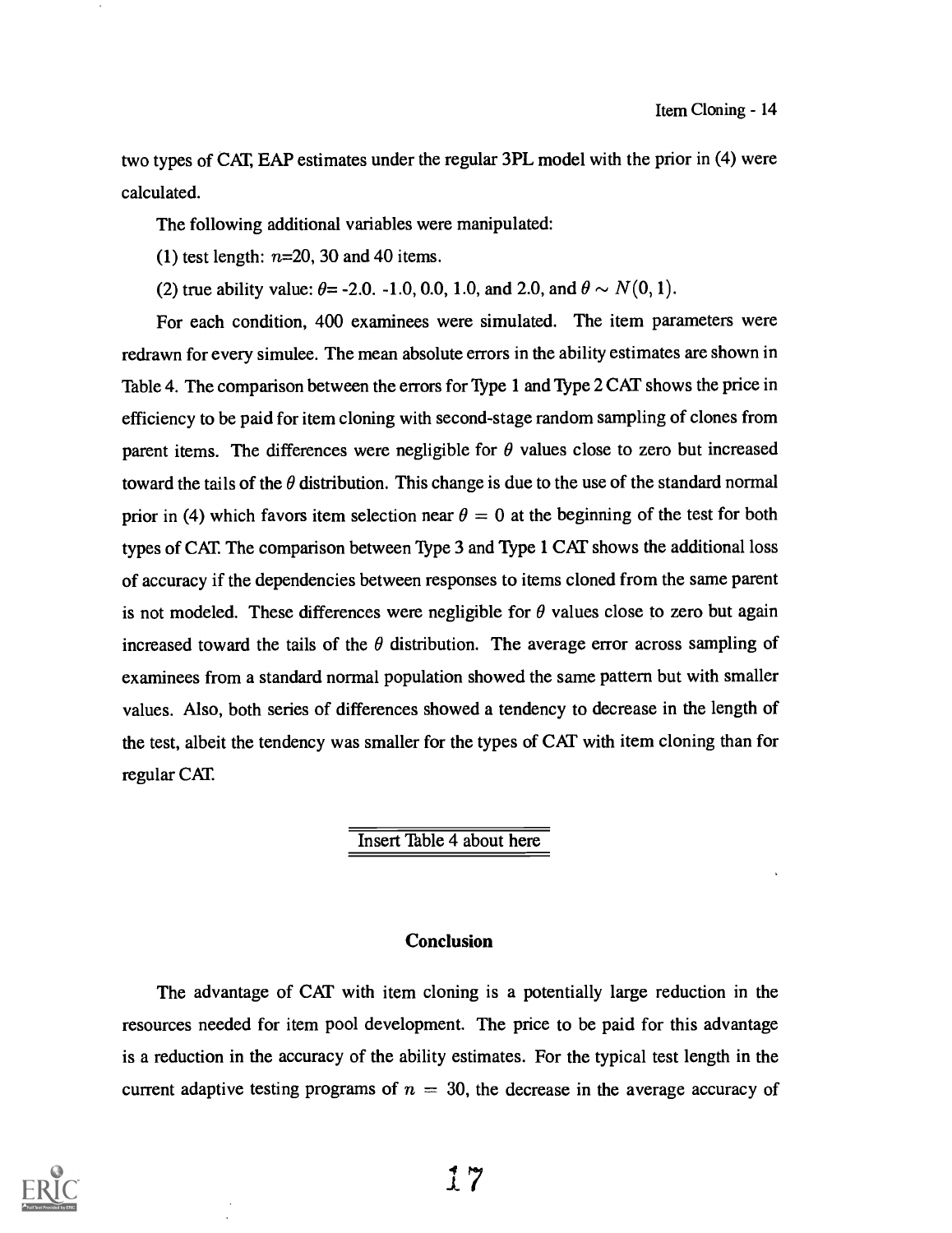two types of CAT, EAP estimates under the regular 3PL model with the prior in (4) were calculated.

The following additional variables were manipulated:

(1) test length:  $n=20$ , 30 and 40 items.

(2) true ability value:  $\theta = -2.0, -1.0, 0.0, 1.0,$  and  $2.0,$  and  $\theta \sim N(0, 1)$ .

For each condition, 400 examinees were simulated. The item parameters were redrawn for every simulee. The mean absolute errors in the ability estimates are shown in Table 4. The comparison between the errors for Type 1 and Type 2 CAT shows the price in efficiency to be paid for item cloning with second-stage random sampling of clones from parent items. The differences were negligible for  $\theta$  values close to zero but increased toward the tails of the  $\theta$  distribution. This change is due to the use of the standard normal prior in (4) which favors item selection near  $\theta = 0$  at the beginning of the test for both types of CAT The comparison between Type 3 and Type 1 CAT shows the additional loss of accuracy if the dependencies between responses to items cloned from the same parent is not modeled. These differences were negligible for  $\theta$  values close to zero but again increased toward the tails of the  $\theta$  distribution. The average error across sampling of examinees from a standard normal population showed the same pattern but with smaller values. Also, both series of differences showed a tendency to decrease in the length of the test, albeit the tendency was smaller for the types of CAT with item cloning than for regular CAT.

# Insert Table 4 about here

# **Conclusion**

The advantage of CAT with item cloning is a potentially large reduction in the resources needed for item pool development. The price to be paid for this advantage is a reduction in the accuracy of the ability estimates. For the typical test length in the current adaptive testing programs of  $n = 30$ , the decrease in the average accuracy of

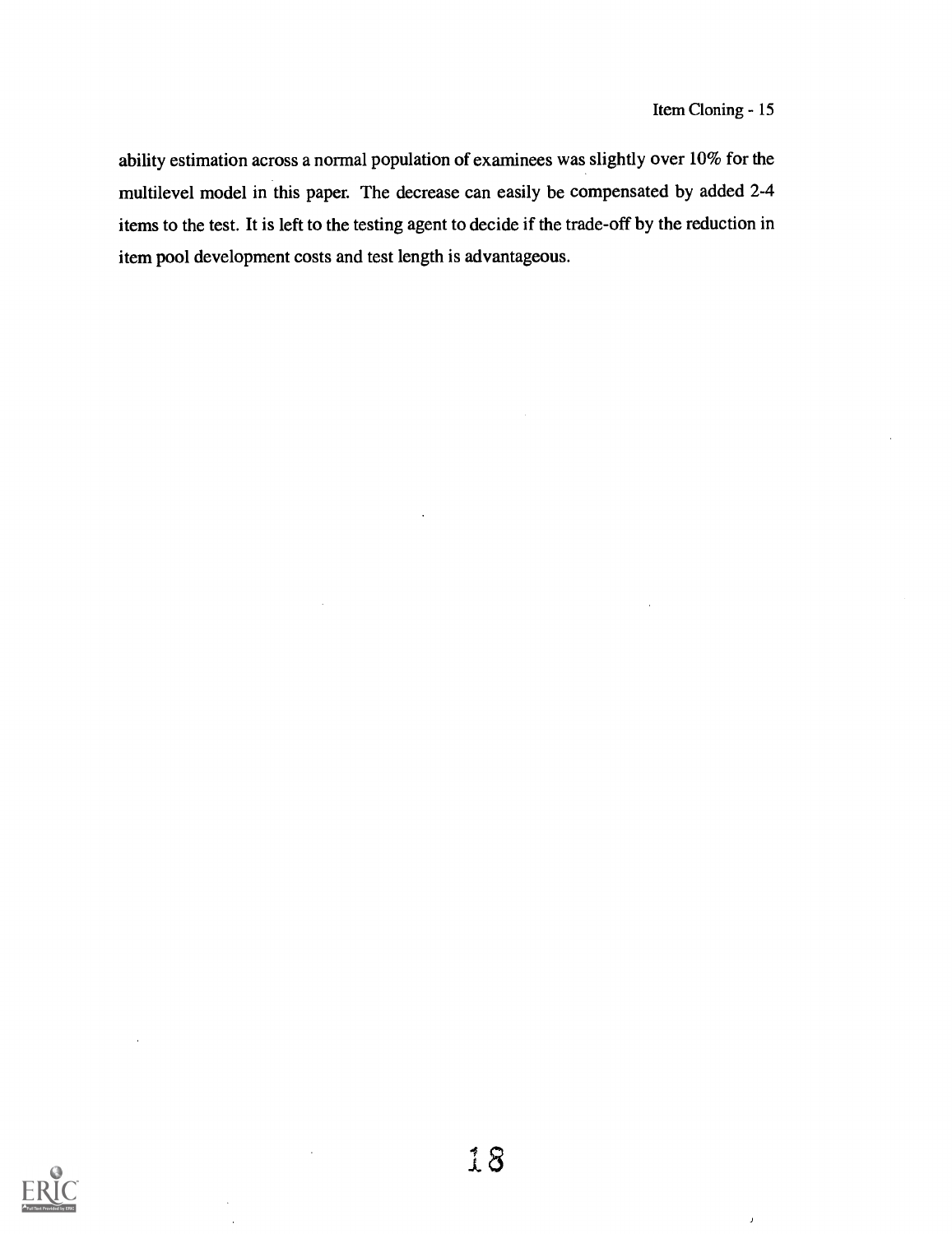$\bar{\bf J}$ 

ability estimation across a normal population of examinees was slightly over 10% for the multilevel model in this paper. The decrease can easily be compensated by added 2-4 items to the test. It is left to the testing agent to decide if the trade-off by the reduction in item pool development costs and test length is advantageous.

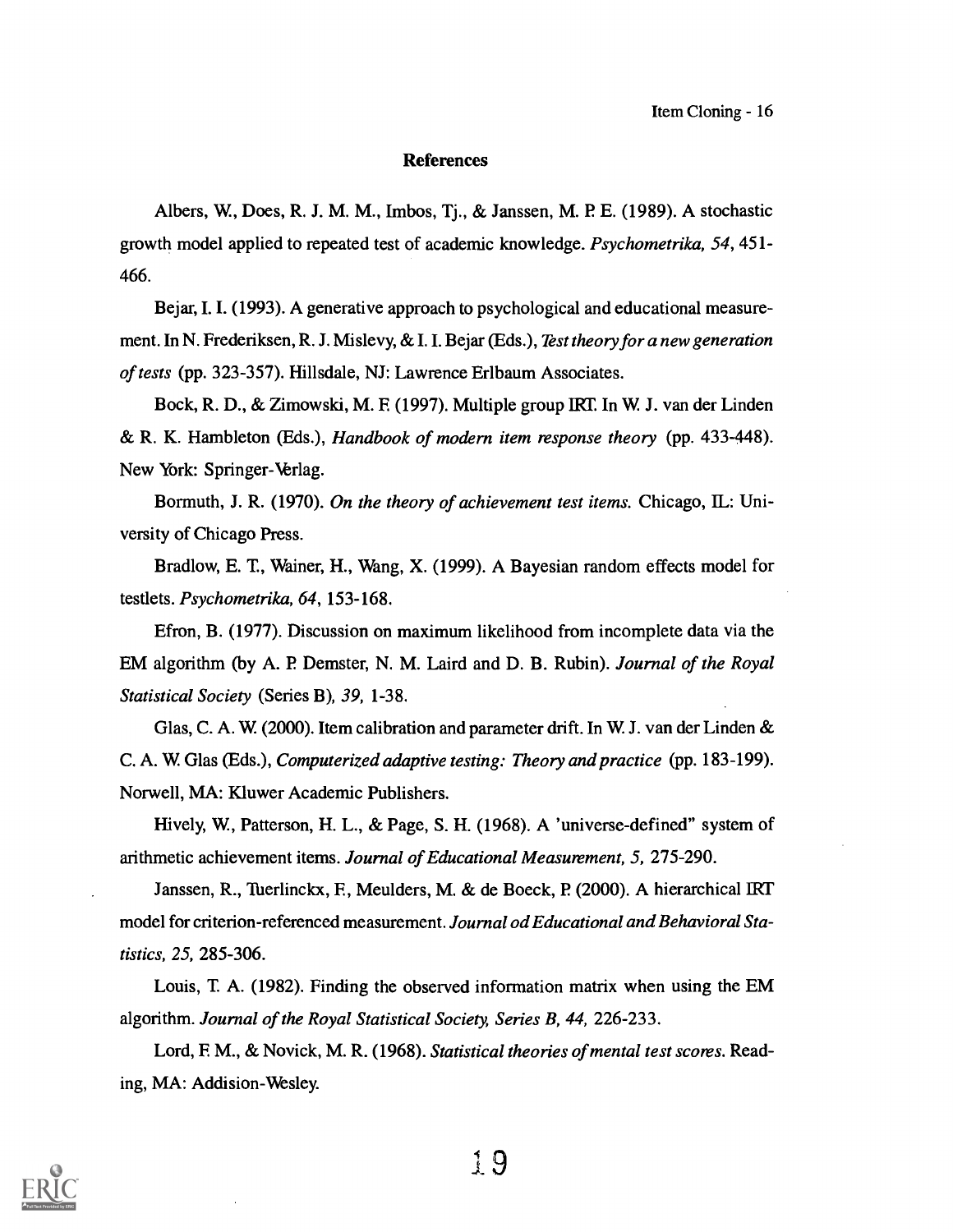#### **References**

Albers, W, Does, R. J. M. M., Imbos, Tj., & Janssen, M. P E. (1989). A stochastic growth model applied to repeated test of academic knowledge. Psychometrika, 54, 451- 466.

Bejar, I. I. (1993). A generative approach to psychological and educational measurement. In N. Frederiksen, R. J. Mislevy, & I. I. Bejar (Eds.), Test theory for a new generation of tests (pp. 323-357). Hillsdale, NJ: Lawrence Erlbaum Associates.

Bock, R. D., & Zimowski, M. E (1997). Multiple group IRT. In W. J. van der Linden & R. K. Hambleton (Eds.), Handbook of modern item response theory (pp. 433-448). New York: Springer-Verlag.

Bormuth, J. R. (1970). On the theory of achievement test items. Chicago, IL: University of Chicago Press.

Bradlow, E. T., Wainer, H., Wang, X. (1999). A Bayesian random effects model for testlets. Psychometrika, 64, 153-168.

Efron, B. (1977). Discussion on maximum likelihood from incomplete data via the EM algorithm (by A. P Demster, N. M. Laird and D. B. Rubin). Journal of the Royal Statistical Society (Series B), 39, 1-38.

Glas, C. A. W. (2000). Item calibration and parameter drift. In W. J. van der Linden & C. A. W. Glas (Eds.), Computerized adaptive testing: Theory and practice (pp. 183-199). Norwell, MA: Kluwer Academic Publishers.

Hively, W, Patterson, H. L., & Page, S. H. (1968). A 'universe-defined" system of arithmetic achievement items. Journal of Educational Measurement, 5, 275-290.

Janssen, R., Tuerlinckx, F., Meulders, M. & de Boeck, P. (2000). A hierarchical IRT model for criterion-referenced measurement. Journal od Educational and Behavioral Statistics, 25, 285-306.

Louis, T A. (1982). Finding the observed information matrix when using the EM algorithm. Journal of the Royal Statistical Society, Series B, 44, 226-233.

Lord, F. M., & Novick, M. R. (1968). Statistical theories of mental test scores. Reading, MA: Addision-Wesley.



I 9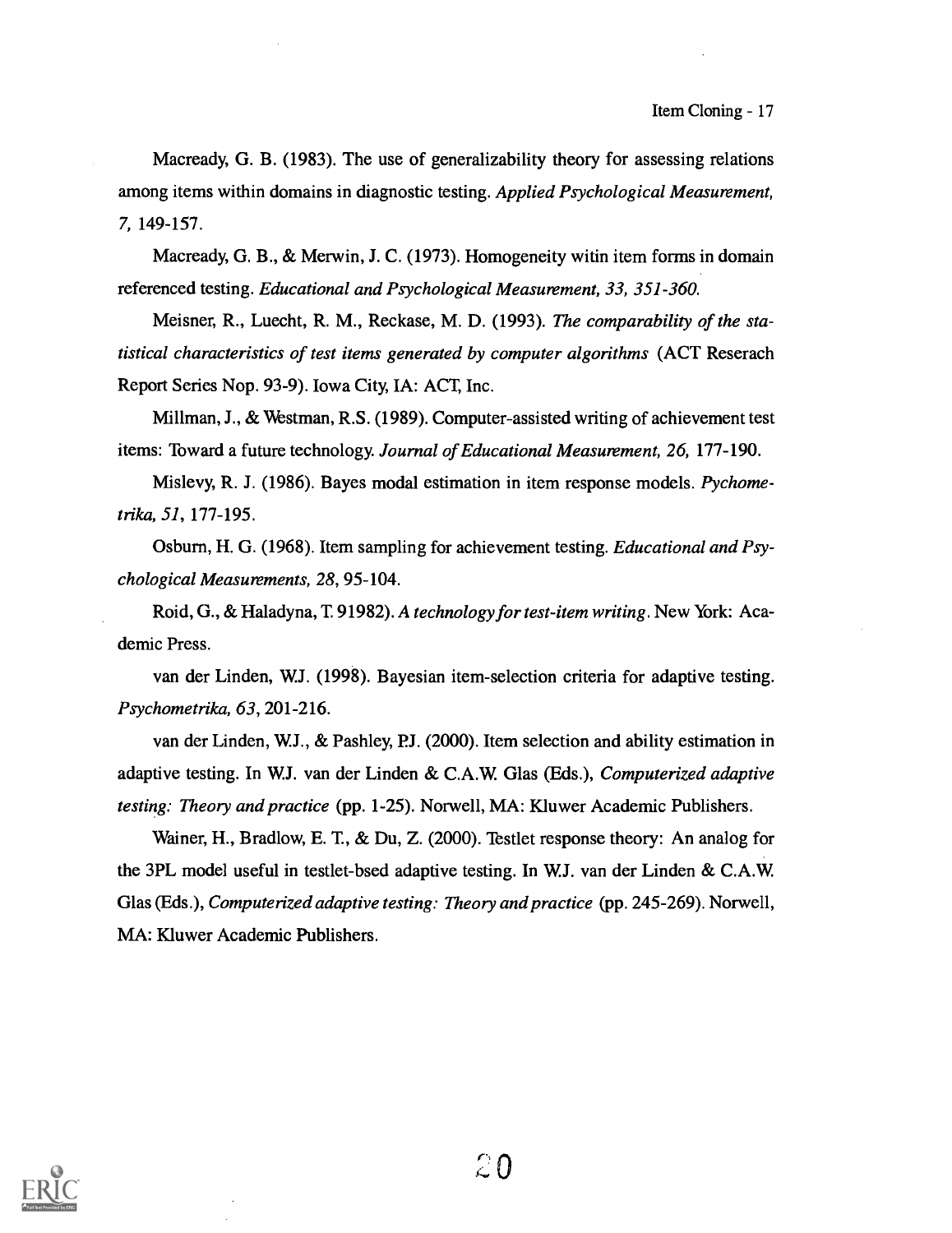Macready, G. B. (1983). The use of generalizability theory for assessing relations among items within domains in diagnostic testing. Applied Psychological Measurement, 7, 149-157.

Macready, G. B., & Merwin, J. C. (1973). Homogeneity witin item forms in domain referenced testing. Educational and Psychological Measurement, 33, 351-360.

Meisner, R., Luecht, R. M., Reckase, M. D. (1993). The comparability of the statistical characteristics of test items generated by computer algorithms (ACT Reserach Report Series Nop. 93-9). Iowa City, IA: ACT, Inc.

Millman, J., & Westman, R.S. (1989). Computer-assisted writing of achievement test items: Toward a future technology. Journal of Educational Measurement, 26, 177-190.

Mislevy, R. J. (1986). Bayes modal estimation in item response models. Pychometrika, 51, 177-195.

Osburn, H. G. (1968). Item sampling for achievement testing. *Educational and Psy*chological Measurements, 28, 95-104.

Roid, G., & Haladyna, T. 91982). A technology for test-item writing. New York: Academic Press.

van der Linden, W.J. (1998). Bayesian item-selection criteria for adaptive testing. Psychometrika, 63, 201-216.

van der Linden, W.J., & Pashley, P.J. (2000). Item selection and ability estimation in adaptive testing. In W.J. van der Linden & C.A.W. Glas (Eds.), Computerized adaptive testing: Theory and practice (pp. 1-25). Norwell, MA: Kluwer Academic Publishers.

Wainer, H., Bradlow, E. T., & Du, Z. (2000). Testlet response theory: An analog for the 3PL model useful in testlet-bsed adaptive testing. In W.J. van der Linden & Glas (Eds.), *Computerized adaptive testing: Theory and practice* (pp. 245-269). Norwell, MA: Kluwer Academic Publishers.

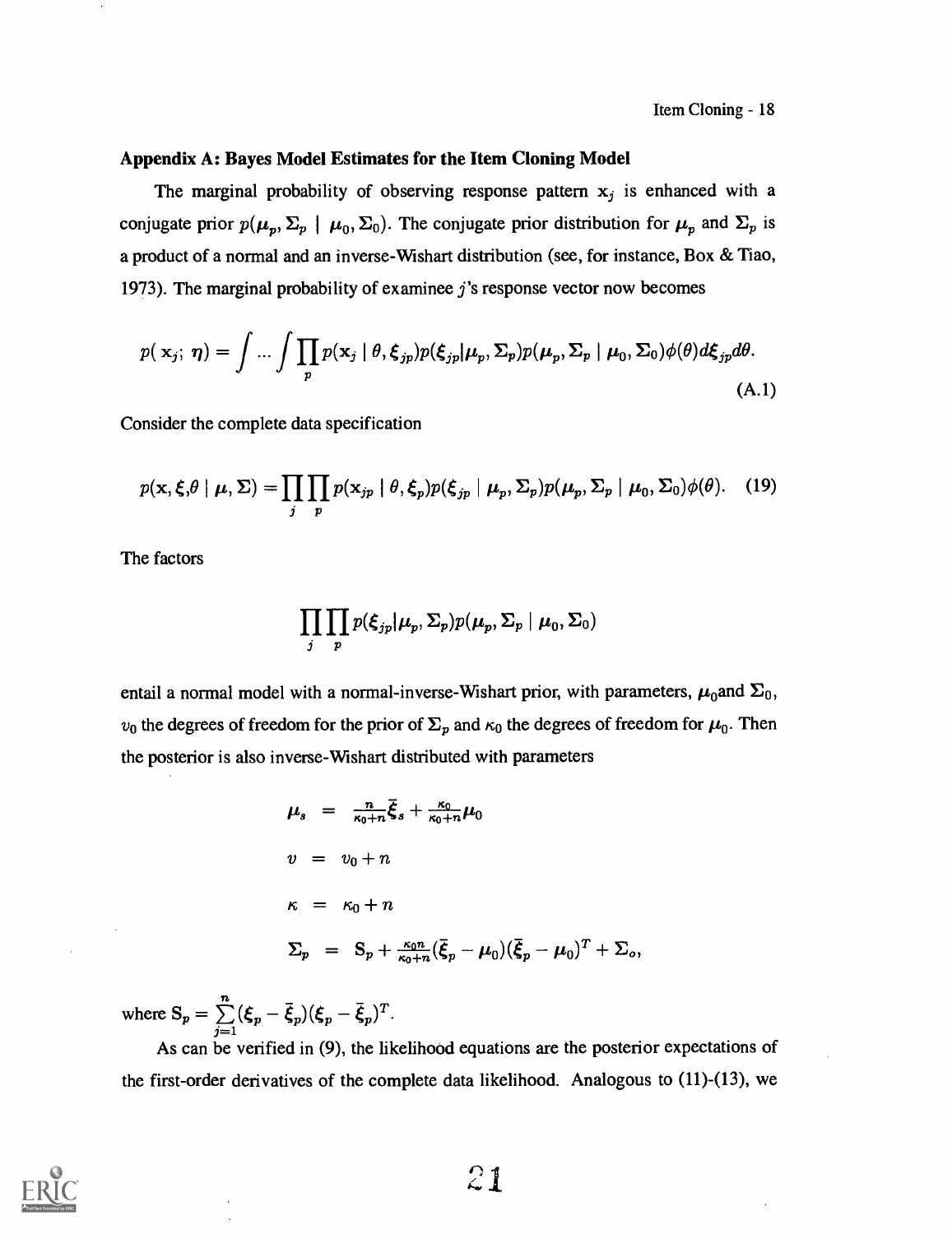# Appendix A: Bayes Model Estimates for the Item Cloning Model

The marginal probability of observing response pattern  $x_j$  is enhanced with a conjugate prior  $p(\mu_p, \Sigma_p \mid \mu_0, \Sigma_0)$ . The conjugate prior distribution for  $\mu_p$  and  $\Sigma_p$  is a product of a normal and an inverse-Wishart distribution (see, for instance, Box & Tiao, 1973). The marginal probability of examinee j's response vector now becomes

$$
p(\mathbf{x}_j; \boldsymbol{\eta}) = \int \dots \int \prod_p p(\mathbf{x}_j \mid \theta, \boldsymbol{\xi}_{jp}) p(\boldsymbol{\xi}_{jp} | \boldsymbol{\mu}_p, \boldsymbol{\Sigma}_p) p(\boldsymbol{\mu}_p, \boldsymbol{\Sigma}_p \mid \boldsymbol{\mu}_0, \boldsymbol{\Sigma}_0) \phi(\theta) d\boldsymbol{\xi}_{jp} d\theta.
$$
\n(A.1)

Consider the complete data specification

$$
p(\mathbf{x}, \boldsymbol{\xi}, \theta \mid \boldsymbol{\mu}, \boldsymbol{\Sigma}) = \prod_{j} \prod_{p} p(\mathbf{x}_{jp} \mid \theta, \boldsymbol{\xi}_p) p(\boldsymbol{\xi}_{jp} \mid \boldsymbol{\mu}_p, \boldsymbol{\Sigma}_p) p(\boldsymbol{\mu}_p, \boldsymbol{\Sigma}_p \mid \boldsymbol{\mu}_0, \boldsymbol{\Sigma}_0) \phi(\theta). \quad (19)
$$

The factors

$$
\prod_j \prod_p p(\boldsymbol{\xi}_{jp}|\boldsymbol{\mu}_p,\boldsymbol{\Sigma}_p)p(\boldsymbol{\mu}_p,\boldsymbol{\Sigma}_p\mid\boldsymbol{\mu}_0,\boldsymbol{\Sigma}_0)
$$

entail a normal model with a normal-inverse-Wishart prior, with parameters,  $\mu_0$  and  $\Sigma_0$ ,  $v_0$  the degrees of freedom for the prior of  $\Sigma_p$  and  $\kappa_0$  the degrees of freedom for  $\mu_0$ . Then the posterior is also inverse-Wishart distributed with parameters

$$
\mu_s = \frac{n}{\kappa_0 + n} \bar{\xi}_s + \frac{\kappa_0}{\kappa_0 + n} \mu_0
$$
  
\n
$$
v = v_0 + n
$$
  
\n
$$
\kappa = \kappa_0 + n
$$
  
\n
$$
\Sigma_p = S_p + \frac{\kappa_0 n}{\kappa_0 + n} (\bar{\xi}_p - \mu_0) (\bar{\xi}_p - \mu_0)^T + \Sigma_o,
$$

where  $S_p = \sum_{j=1}^{n} (\xi_p - \bar{\xi}_p)(\xi_p - \bar{\xi}_p)^T$ .

As can be verified in (9), the likelihood equations are the posterior expectations of the first-order derivatives of the complete data likelihood. Analogous to (11)-(13), we

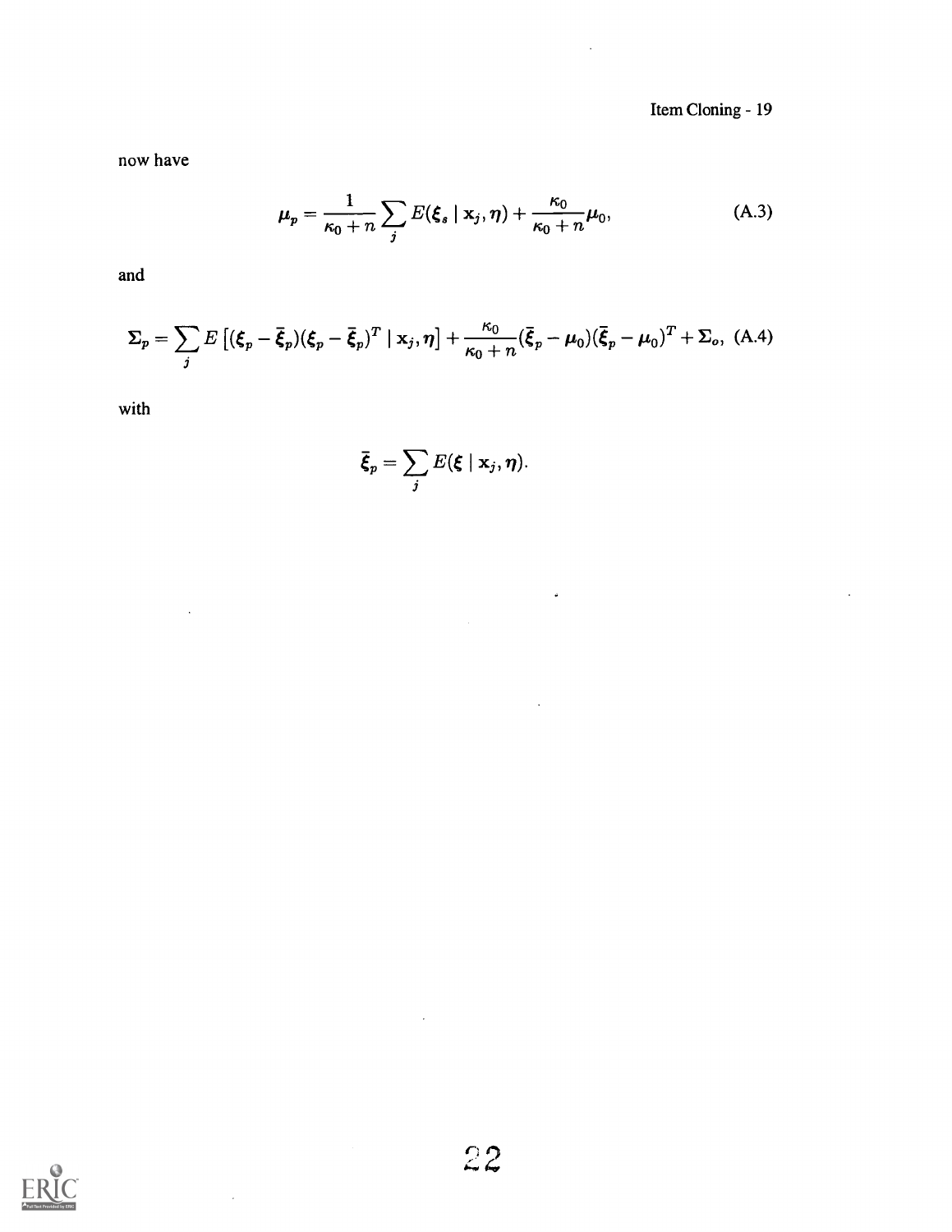Item Cloning - 19

 $\overline{a}$ 

now have

$$
\mu_p = \frac{1}{\kappa_0 + n} \sum_j E(\xi_s \mid \mathbf{x}_j, \boldsymbol{\eta}) + \frac{\kappa_0}{\kappa_0 + n} \mu_0,
$$
 (A.3)

 $\ddot{\bullet}$ 

and

$$
\Sigma_p = \sum_j E\left[ (\xi_p - \bar{\xi}_p)(\xi_p - \bar{\xi}_p)^T \mid \mathbf{x}_j, \boldsymbol{\eta} \right] + \frac{\kappa_0}{\kappa_0 + n} (\bar{\xi}_p - \mu_0)(\bar{\xi}_p - \mu_0)^T + \Sigma_o, \text{ (A.4)}
$$

with

 $\bar{\mathcal{A}}$ 

 $\bar{z}$ 

$$
\bar{\boldsymbol{\xi}}_p = \sum_j E(\boldsymbol{\xi} \mid \mathbf{x}_j, \boldsymbol{\eta}).
$$

 $\mathcal{A}^{\mathcal{A}}$ 

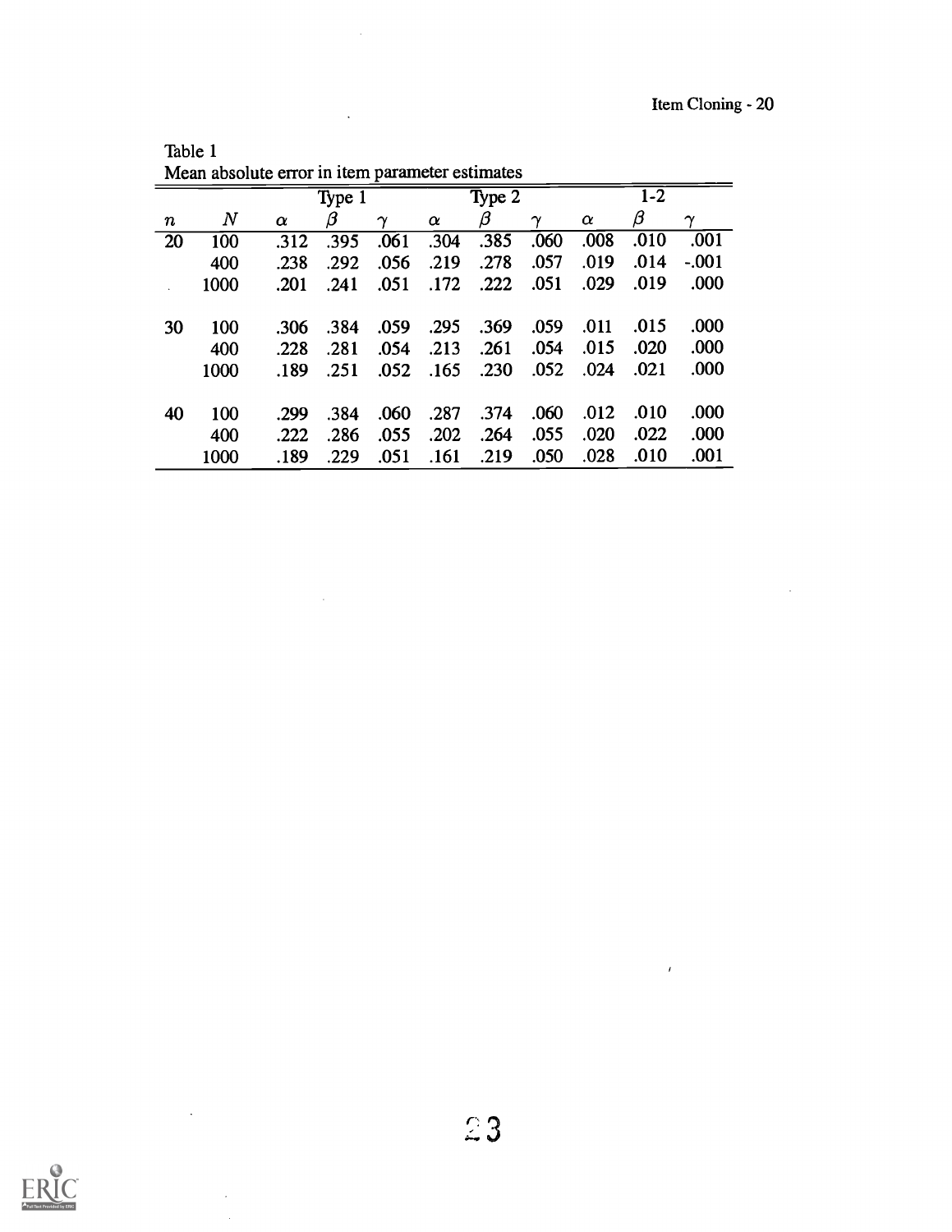$\sim$   $\sim$ 

 $\sim$   $\ell$ 

|                  |       | Mean absolute error in item parameter estimates |         |                       |          |      |                       |          |      |                       |  |
|------------------|-------|-------------------------------------------------|---------|-----------------------|----------|------|-----------------------|----------|------|-----------------------|--|
|                  |       |                                                 | Type 1  |                       | Type 2   |      |                       | $1 - 2$  |      |                       |  |
| $\boldsymbol{n}$ | $\,N$ | $\alpha$                                        | $\beta$ | $\boldsymbol{\gamma}$ | $\alpha$ | β    | $\boldsymbol{\gamma}$ | $\alpha$ | β    | $\boldsymbol{\gamma}$ |  |
| 20               | 100   | .312                                            | .395    | .061                  | .304     | .385 | .060                  | .008     | .010 | .001                  |  |
|                  | 400   | .238                                            | .292    | .056                  | .219     | .278 | .057                  | .019     | .014 | $-.001$               |  |
|                  | 1000  | .201                                            | .241    | .051                  | .172     | .222 | .051                  | .029     | .019 | .000                  |  |
| 30               | 100   | .306                                            | .384    | .059                  | .295     | .369 | .059                  | .011     | .015 | .000                  |  |
|                  | 400   | .228                                            | .281    | .054                  | .213     | .261 | .054                  | .015     | .020 | .000                  |  |
|                  | 1000  | .189                                            | .251    | .052                  | .165     | .230 | .052                  | .024     | .021 | .000                  |  |
| 40               | 100   | .299                                            | .384    | .060                  | .287     | .374 | .060                  | .012     | .010 | .000                  |  |
|                  | 400   | .222                                            | .286    | .055                  | .202     | .264 | .055                  | .020     | .022 | .000                  |  |
|                  | 1000  | .189                                            | .229    | .051                  | .161     | .219 | .050                  | .028     | .010 | .001                  |  |

Table 1

 $\mathcal{L}_{\mathrm{in}}$ 

 $\bar{\mathcal{A}}$ 

 $\hat{\mathcal{A}}$ 



 $\sim 10^{11}$ 

÷,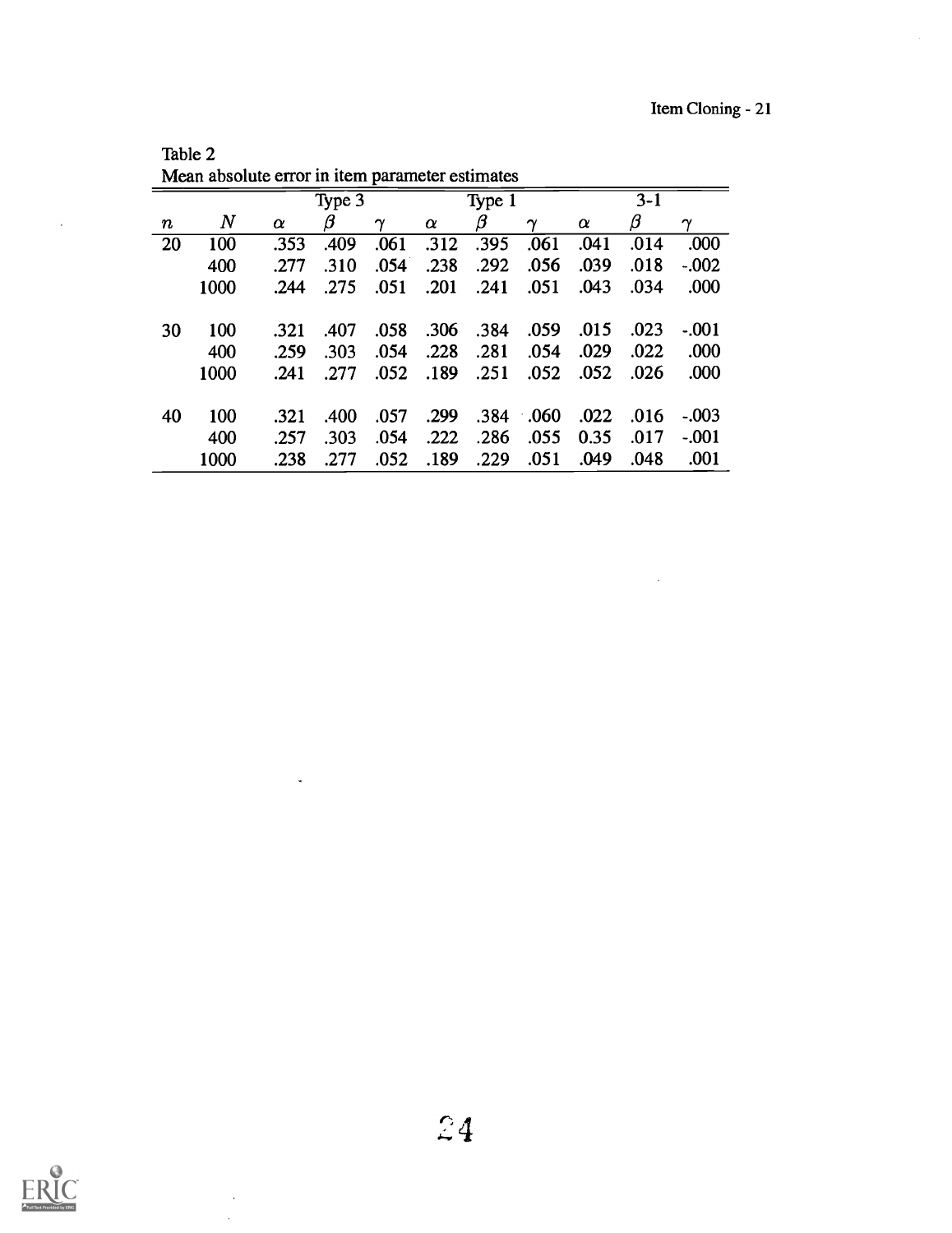$\sim$   $\sim$ 

| $3 - 1$<br>Type 3<br>Type 1<br>$\boldsymbol{N}$<br>β<br>β<br>β<br>$\alpha$<br>$\gamma$<br>$\alpha$<br>$\gamma$<br>$\alpha$<br>$\boldsymbol{\gamma}$<br>$\boldsymbol{n}$<br>.000<br>100<br>.395<br>20<br>.353<br>.409<br>.061<br>.061<br>.041<br>.014<br>.312 |
|--------------------------------------------------------------------------------------------------------------------------------------------------------------------------------------------------------------------------------------------------------------|
|                                                                                                                                                                                                                                                              |
|                                                                                                                                                                                                                                                              |
|                                                                                                                                                                                                                                                              |
| .292<br>.039<br>.238<br>.056<br>.018<br>400<br>.310<br>.054<br>$-.002$<br>.277                                                                                                                                                                               |
| .201<br>.000<br>1000<br>.051<br>.051<br>.043<br>.034<br>.244<br>.275<br>.241                                                                                                                                                                                 |
|                                                                                                                                                                                                                                                              |
| 100<br>.306<br>.059<br>.015<br>.023<br>.058<br>.384<br>$-.001$<br>.407<br>30<br>.321                                                                                                                                                                         |
| .281<br>.228<br>.029<br>.022<br>.000<br>400<br>.054<br>.259<br>.303<br>.054                                                                                                                                                                                  |
| .052<br>.000<br>.052<br>.189<br>.251<br>.052<br>1000<br>.026<br>.277<br>.241                                                                                                                                                                                 |
|                                                                                                                                                                                                                                                              |
| 100<br>.299<br>$.384 \quad .060$<br>.022<br>.057<br>.016<br>$-.003$<br>40<br>.321<br>.400                                                                                                                                                                    |
| .286<br>.222<br>.055<br>400<br>.257<br>.303<br>.054<br>0.35<br>.017<br>$-.001$                                                                                                                                                                               |
| .001<br>.189<br>.051<br>1000<br>.052<br>.229<br>.049<br>.048<br>.238<br>.277                                                                                                                                                                                 |

Table 2<br>Mean absolute error in it

 $\ddot{\phantom{a}}$ 

 $\ddot{\phantom{0}}$  $\bar{z}$ 



 $\sim$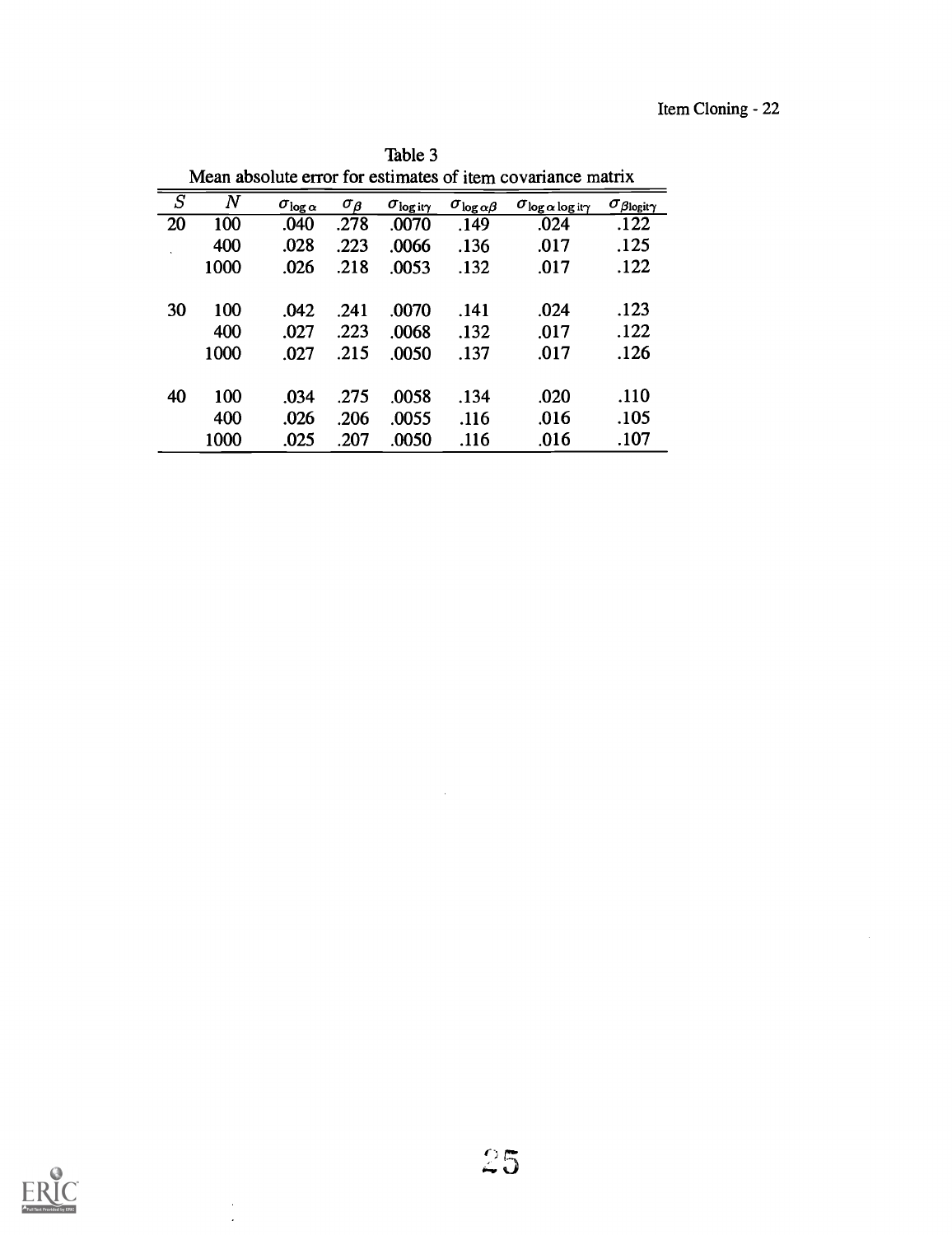| Mean absolute error for estimates of item covariance matrix |       |                         |                               |                        |                             |                                     |                                 |  |  |
|-------------------------------------------------------------|-------|-------------------------|-------------------------------|------------------------|-----------------------------|-------------------------------------|---------------------------------|--|--|
| $\overline{S}$                                              | $\,N$ | $\sigma_{\log{\alpha}}$ | $\sigma_{\boldsymbol{\beta}}$ | $\sigma_{\rm log}$ ity | $\sigma_{\log \alpha\beta}$ | $\sigma_{\log \alpha \log i\gamma}$ | $\sigma_{\beta}$ logit $\gamma$ |  |  |
| 20                                                          | 100   | .040                    | .278                          | .0070                  | .149                        | .024                                | .122                            |  |  |
|                                                             | 400   | .028                    | .223                          | .0066                  | .136                        | .017                                | .125                            |  |  |
|                                                             | 1000  | .026                    | .218                          | .0053                  | .132                        | .017                                | .122                            |  |  |
| 30                                                          | 100   | .042                    | .241                          | .0070                  | .141                        | .024                                | .123                            |  |  |
|                                                             | 400   | .027                    | .223                          | .0068                  | .132                        | .017                                | .122                            |  |  |
|                                                             | 1000  | .027                    | .215                          | .0050                  | .137                        | .017                                | .126                            |  |  |
| 40                                                          | 100   | .034                    | .275                          | .0058                  | .134                        | .020                                | .110                            |  |  |
|                                                             | 400   | .026                    | .206                          | .0055                  | .116                        | .016                                | .105                            |  |  |
|                                                             | 1000  | .025                    | .207                          | .0050                  | .116                        | .016                                | .107                            |  |  |

Table 3



 $\bar{z}$  $\ddot{\phantom{a}}$ 

 $\sim$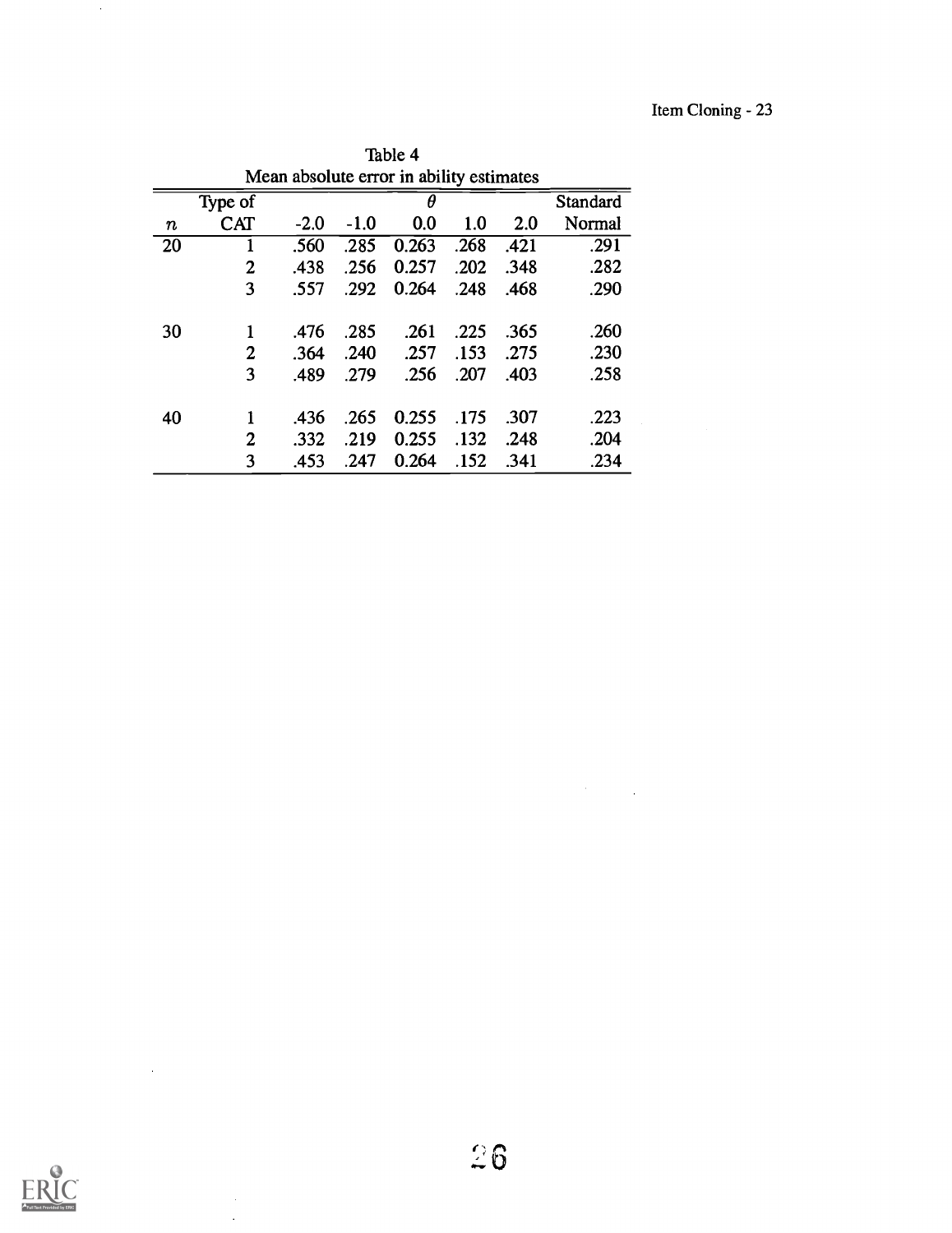| Table 4                                  |                |        |                      |       |      |      |        |  |  |
|------------------------------------------|----------------|--------|----------------------|-------|------|------|--------|--|--|
| Mean absolute error in ability estimates |                |        |                      |       |      |      |        |  |  |
|                                          | Type of        |        | θ<br><b>Standard</b> |       |      |      |        |  |  |
| $\pmb{n}$                                | <b>CAT</b>     | $-2.0$ | $-1.0$               | 0.0   | 1.0  | 2.0  | Normal |  |  |
| 20                                       |                | .560   | .285                 | 0.263 | .268 | .421 | .291   |  |  |
|                                          | $\overline{2}$ | .438   | .256                 | 0.257 | .202 | .348 | .282   |  |  |
|                                          | 3              | .557   | .292                 | 0.264 | .248 | .468 | .290   |  |  |
| 30                                       | 1              | .476   | .285                 | .261  | .225 | .365 | .260   |  |  |
|                                          | $\overline{2}$ | .364   | .240                 | .257  | .153 | .275 | .230   |  |  |
|                                          | 3              | .489   | .279                 | .256  | .207 | .403 | .258   |  |  |
| 40                                       | 1              | .436   | .265                 | 0.255 | .175 | .307 | .223   |  |  |
|                                          | $\overline{2}$ | .332   | .219                 | 0.255 | .132 | .248 | .204   |  |  |
|                                          | 3              | .453   | .247                 | 0.264 | .152 | .341 | .234   |  |  |



 $\mathcal{L}_{\text{max}}$  and  $\mathcal{L}_{\text{max}}$ 

 $\ddot{\phantom{0}}$ 

 $\sim$ 

 $\label{eq:2.1} \frac{1}{\sqrt{2}}\int_{\mathbb{R}^3}\frac{1}{\sqrt{2}}\left(\frac{1}{\sqrt{2}}\right)^2\frac{1}{\sqrt{2}}\left(\frac{1}{\sqrt{2}}\right)^2\frac{1}{\sqrt{2}}\left(\frac{1}{\sqrt{2}}\right)^2\frac{1}{\sqrt{2}}\left(\frac{1}{\sqrt{2}}\right)^2.$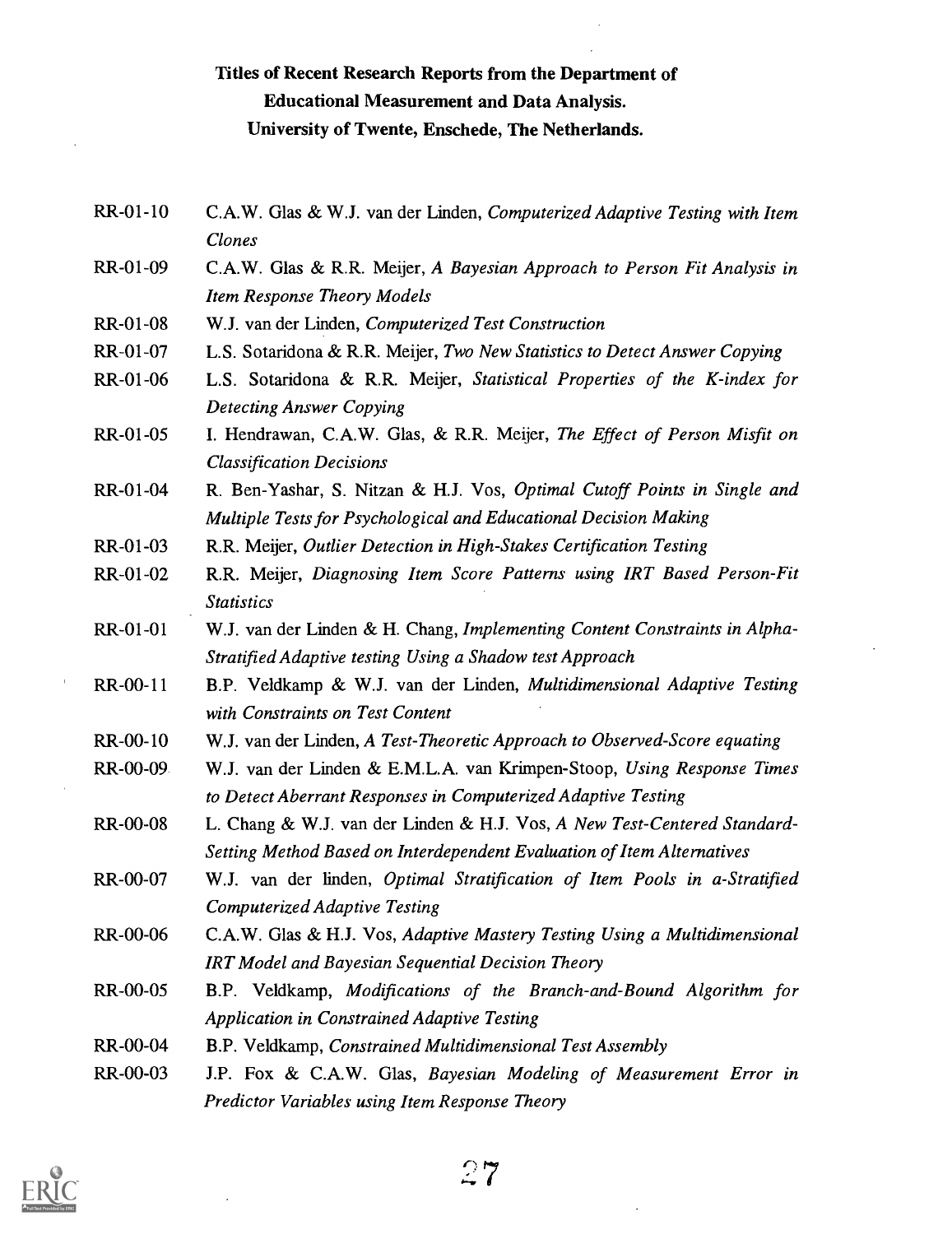# Titles of Recent Research Reports from the Department of Educational Measurement and Data Analysis. University of Twente, Enschede, The Netherlands.

- RR-01-10 C.A.W. Glas & W.J. van der Linden, Computerized Adaptive Testing with Item Clones
- RR-01-09 C.A.W. Glas & R.R. Meijer, A Bayesian Approach to Person Fit Analysis in Item Response Theory Models
- RR-01-08 W.J. van der Linden, Computerized Test Construction
- RR-01-07 L.S. Sotaridona & R.R. Meijer, Two New Statistics to Detect Answer Copying
- RR-01-06 L.S. Sotaridona & R.R. Meijer, Statistical Properties of the K-index for Detecting Answer Copying
- RR-01-05 I. Hendrawan, C.A.W. Glas, & R.R. Meijer, The Effect of Person Misfit on Classification Decisions
- RR-01-04 R. Ben-Yashar, S. Nitzan & H.J. Vos, Optimal Cutoff Points in Single and Multiple Tests for Psychological and Educational Decision Making
- RR-01-03 R.R. Meijer, Outlier Detection in High-Stakes Certification Testing
- RR-01-02 R.R. Meijer, Diagnosing Item Score Patterns using IRT Based Person-Fit **Statistics**
- RR-01-01 W.J. van der Linden & H. Chang, Implementing Content Constraints in Alpha-Stratified Adaptive testing Using a Shadow test Approach
- RR-00-11 B.P. Veldkamp & W.J. van der Linden, Multidimensional Adaptive Testing with Constraints on Test Content
- RR-00-10 W.J. van der Linden, A Test-Theoretic Approach to Observed-Score equating
- RR-00-09 W.J. van der Linden & E.M.L.A. van Krimpen- Stoop, Using Response Times to Detect Aberrant Responses in Computerized Adaptive Testing
- RR-00-08 L. Chang & W.J. van der Linden & H.J. Vos, A New Test-Centered Standard-Setting Method Based on Interdependent Evaluation of Item Alternatives
- RR-00-07 W.J. van der linden, Optimal Stratification of Item Pools in a-Stratified Computerized Adaptive Testing
- RR-00-06 C.A.W. Glas & H.J. Vos, Adaptive Mastery Testing Using a Multidimensional IRT Model and Bayesian Sequential Decision Theory
- RR-00-05 B.P. Veldkamp, Modifications of the Branch-and-Bound Algorithm for Application in Constrained Adaptive Testing
- RR-00-04 B.P. Veldkamp, Constrained Multidimensional Test Assembly
- RR-00-03 J.P. Fox & C.A.W. Glas, Bayesian Modeling of Measurement Error in Predictor Variables using Item Response Theory

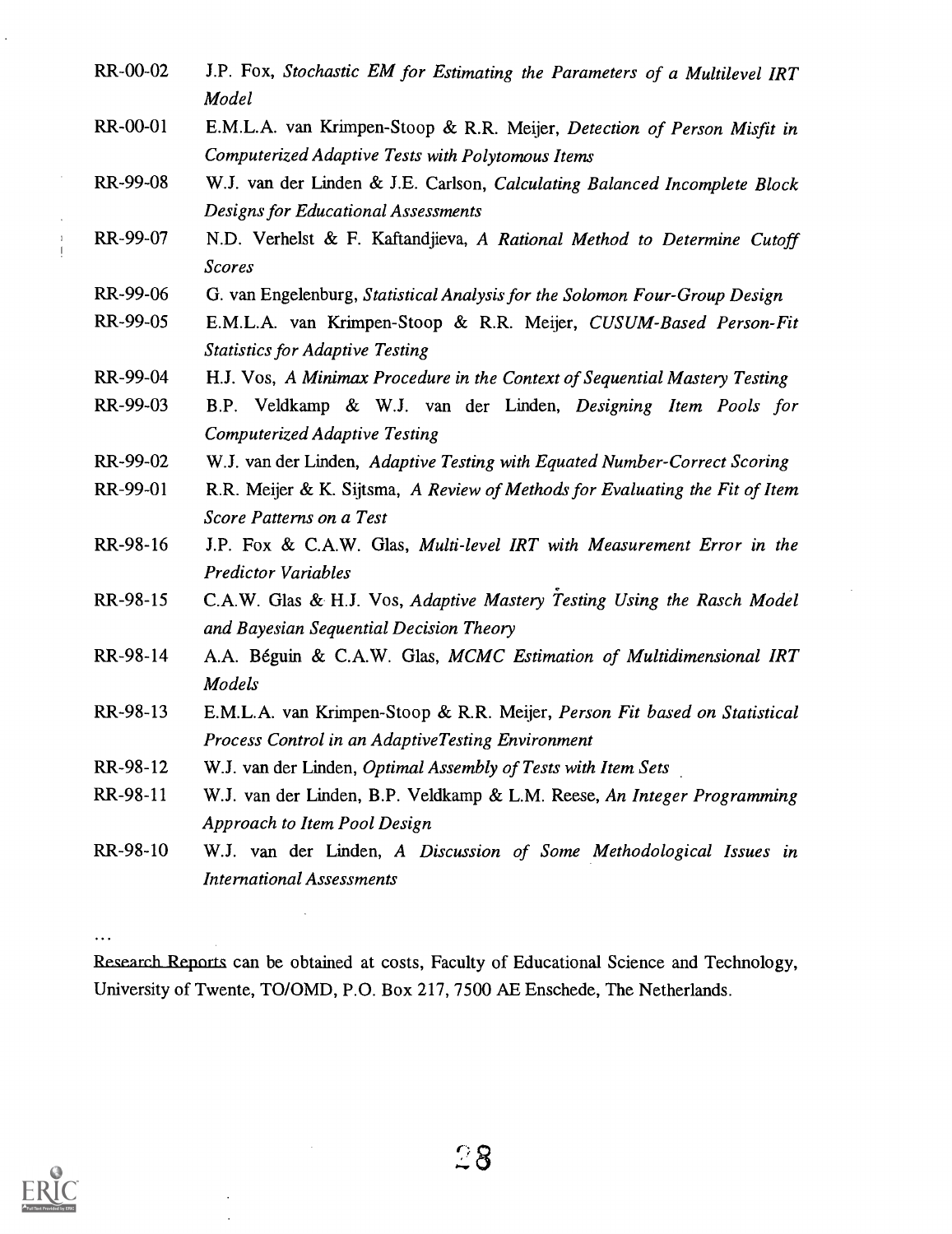RR-00-02 J.P. Fox, Stochastic EM for Estimating the Parameters of a Multilevel IRT Model RR-00-01 E.M.L.A. van Krimpen-Stoop & R.R. Meijer, Detection of Person Misfit in Computerized Adaptive Tests with Polytomous Items RR-99-08 W.J. van der Linden & J.E. Carlson, Calculating Balanced Incomplete Block Designs for Educational Assessments RR-99-07 N.D. Verhelst & F. Kaftandjieva, A Rational Method to Determine Cutoff Scores RR-99-06 G. van Engelenburg, Statistical Analysis for the Solomon Four-Group Design RR-99-05 E.M.L.A. van Krimpen-Stoop & R.R. Meijer, CUSUM-Based Person-Fit Statistics for Adaptive Testing RR-99-04 H.J. Vos, A Minimax Procedure in the Context of Sequential Mastery Testing RR-99-03 B.P. Veldkamp & W.J. van der Linden, Designing Item Pools for Computerized Adaptive Testing RR-99-02 W.J. van der Linden, Adaptive Testing with Equated Number-Correct Scoring RR-99-01 R.R. Meijer & K. Sijtsma, A Review of Methods for Evaluating the Fit of Item Score Patterns on a Test RR-98-16 J.P. Fox & C.A.W. Glas, Multi-level IRT with Measurement Error in the Predictor Variables RR-98-15 C.A.W. Glas & H.J. Vos, Adaptive Mastery Testing Using the Rasch Model and Bayesian Sequential Decision Theory RR-98-14 A.A. Beguin & C.A.W. Glas, MCMC Estimation of Multidimensional IRT Models RR-98-13 E.M.L.A. van Krimpen -Stoop & R.R. Meijer, Person Fit based on Statistical Process Control in an AdaptiveTesting Environment RR-98-12 W.J. van der Linden, Optimal Assembly of Tests with Item Sets RR-98-11 W.J. van der Linden, B.P. Veldkamp & L.M. Reese, An Integer Programming Approach to Item Pool Design RR-98-10 W.J. van der Linden, A Discussion of Some Methodological Issues in International Assessments

Research Reports can be obtained at costs, Faculty of Educational Science and Technology, University of Twente, TO/OMD, P.O. Box 217, 7500 AE Enschede, The Netherlands.



 $\ddotsc$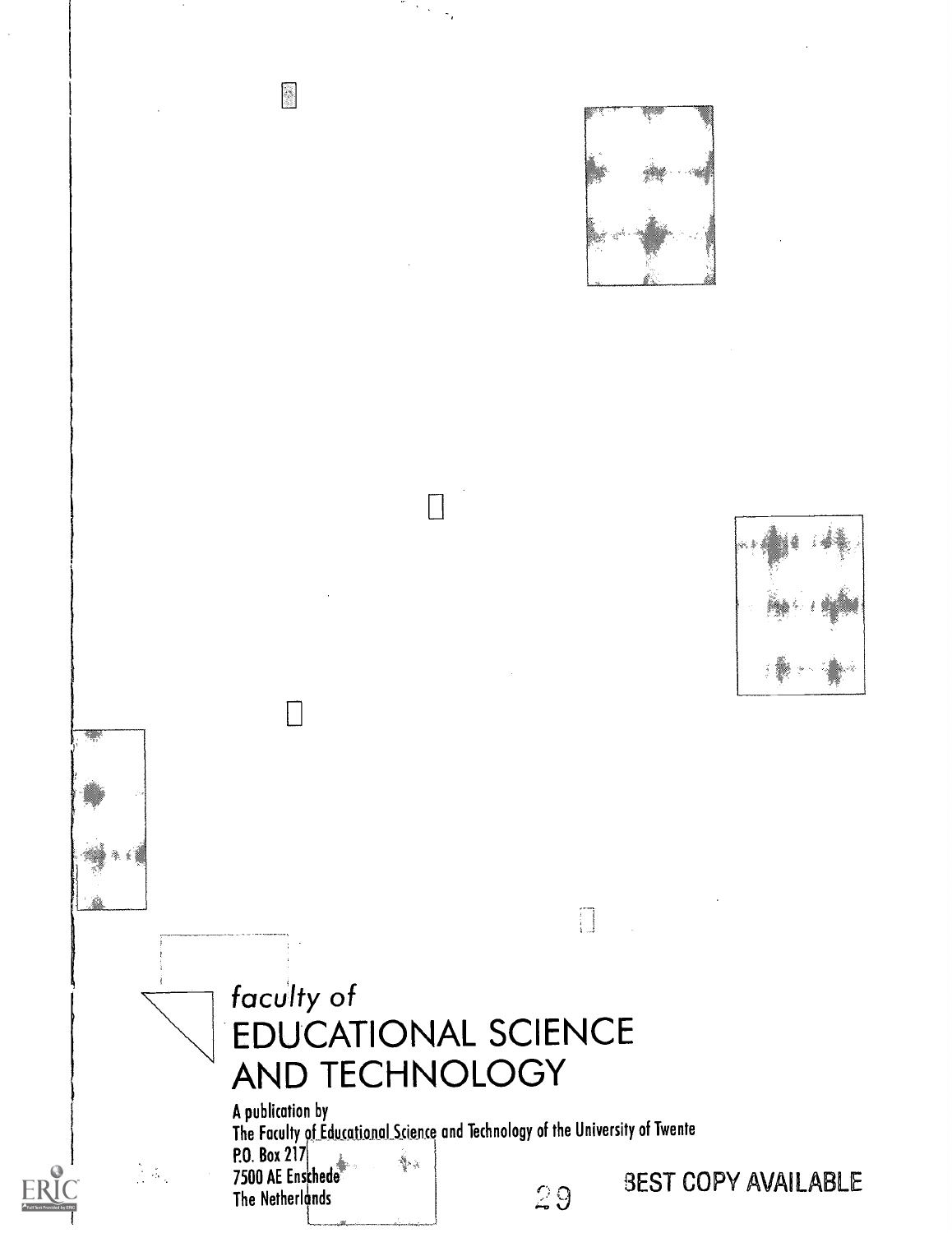